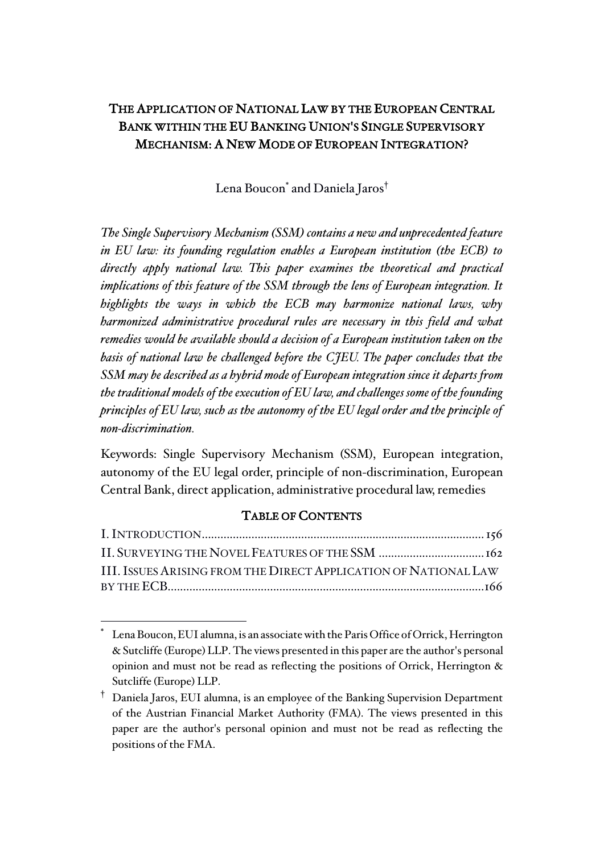# THE APPLICATION OF NATIONAL LAW BY THE EUROPEAN CENTRAL BANK WITHIN THE EU BANKING UNION'S SINGLE SUPERVISORY MECHANISM: A NEW MODE OF EUROPEAN INTEGRATION?

Lena Boucon<sup>\*</sup> and Daniela Jaros<sup>†</sup>

*The Single Supervisory Mechanism (SSM) contains a new and unprecedented feature in EU law: its founding regulation enables a European institution (the ECB) to directly apply national law. This paper examines the theoretical and practical implications of this feature of the SSM through the lens of European integration. It highlights the ways in which the ECB may harmonize national laws, why harmonized administrative procedural rules are necessary in this field and what remedies would be available should a decision of a European institution taken on the basis of national law be challenged before the CJEU. The paper concludes that the SSM may be described as a hybrid mode of European integration since it departs from the traditional models of the execution of EU law, and challenges some of the founding principles of EU law, such as the autonomy of the EU legal order and the principle of non-discrimination.*

Keywords: Single Supervisory Mechanism (SSM), European integration, autonomy of the EU legal order, principle of non-discrimination, European Central Bank, direct application, administrative procedural law, remedies

## TABLE OF CONTENTS

| III. ISSUES ARISING FROM THE DIRECT APPLICATION OF NATIONAL LAW |
|-----------------------------------------------------------------|

Lena Boucon, EUI alumna, is an associate with the Paris Office of Orrick, Herrington & Sutcliffe (Europe) LLP. The views presented in this paper are the author's personal opinion and must not be read as reflecting the positions of Orrick, Herrington & Sutcliffe (Europe) LLP.

<sup>†</sup> Daniela Jaros, EUI alumna, is an employee of the Banking Supervision Department of the Austrian Financial Market Authority (FMA). The views presented in this paper are the author's personal opinion and must not be read as reflecting the positions of the FMA.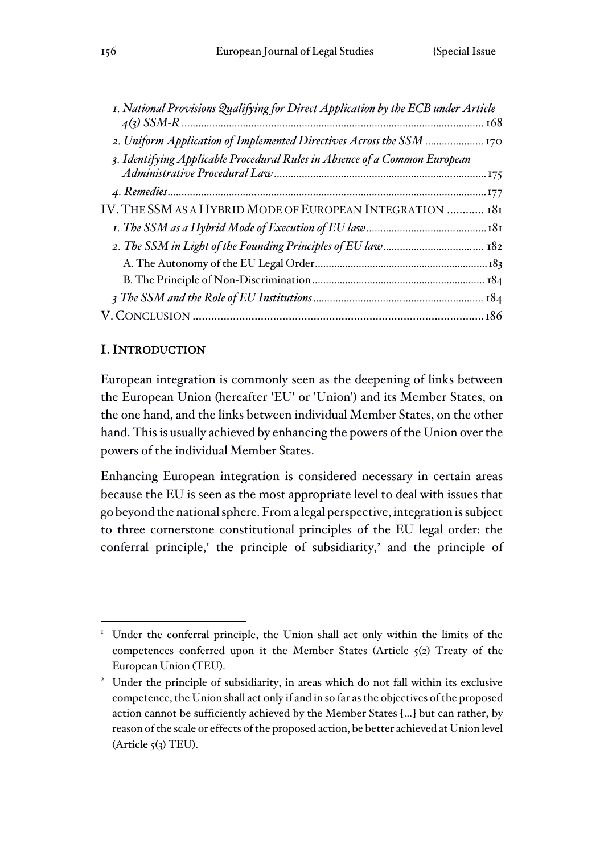| I. National Provisions Qualifying for Direct Application by the ECB under Article |  |
|-----------------------------------------------------------------------------------|--|
|                                                                                   |  |
| 2. Uniform Application of Implemented Directives Across the SSM  170              |  |
| 3. Identifying Applicable Procedural Rules in Absence of a Common European        |  |
|                                                                                   |  |
| IV. THE SSM AS A HYBRID MODE OF EUROPEAN INTEGRATION  181                         |  |
|                                                                                   |  |
|                                                                                   |  |
|                                                                                   |  |
|                                                                                   |  |
|                                                                                   |  |
|                                                                                   |  |

# I. INTRODUCTION

European integration is commonly seen as the deepening of links between the European Union (hereafter 'EU' or 'Union') and its Member States, on the one hand, and the links between individual Member States, on the other hand. This is usually achieved by enhancing the powers of the Union over the powers of the individual Member States.

Enhancing European integration is considered necessary in certain areas because the EU is seen as the most appropriate level to deal with issues that go beyond the national sphere. From a legal perspective, integration is subject to three cornerstone constitutional principles of the EU legal order: the conferral principle,<sup>1</sup> the principle of subsidiarity,<sup>2</sup> and the principle of

 $\overline{a}$ <sup>1</sup> Under the conferral principle, the Union shall act only within the limits of the competences conferred upon it the Member States (Article  $5(2)$  Treaty of the European Union (TEU).

<sup>&</sup>lt;sup>2</sup> Under the principle of subsidiarity, in areas which do not fall within its exclusive competence, the Union shall act only if and in so far as the objectives of the proposed action cannot be sufficiently achieved by the Member States […] but can rather, by reason of the scale or effects of the proposed action, be better achieved at Union level  $(A$ rticle  $5(3)$  TEU).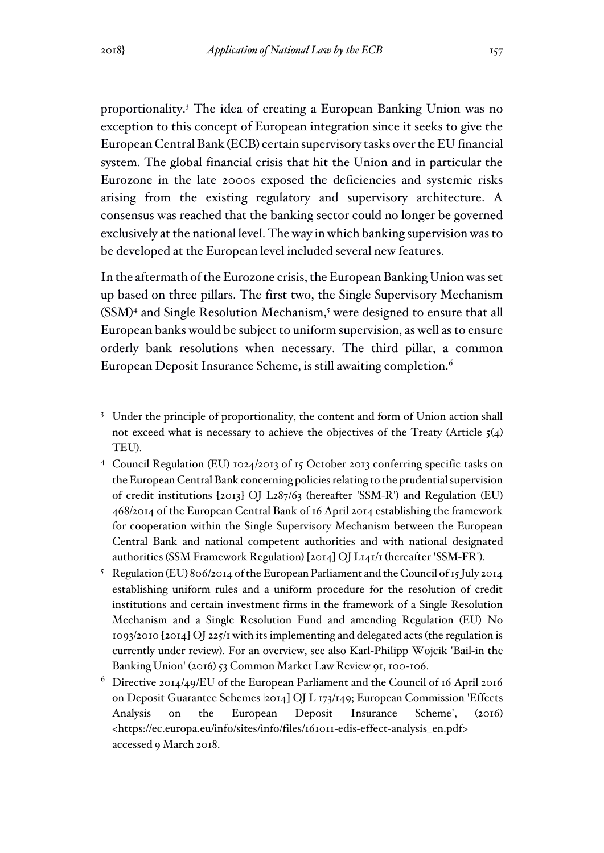proportionality.<sup>3</sup> The idea of creating a European Banking Union was no exception to this concept of European integration since it seeks to give the European Central Bank (ECB) certain supervisory tasks over the EU financial system. The global financial crisis that hit the Union and in particular the Eurozone in the late 2000s exposed the deficiencies and systemic risks arising from the existing regulatory and supervisory architecture. A consensus was reached that the banking sector could no longer be governed exclusively at the national level. The way in which banking supervision was to be developed at the European level included several new features.

In the aftermath of the Eurozone crisis, the European Banking Union was set up based on three pillars. The first two, the Single Supervisory Mechanism (SSM)<sup>4</sup> and Single Resolution Mechanism,<sup>5</sup> were designed to ensure that all European banks would be subject to uniform supervision, as well as to ensure orderly bank resolutions when necessary. The third pillar, a common European Deposit Insurance Scheme, is still awaiting completion.<sup>6</sup>

<sup>&</sup>lt;sup>3</sup> Under the principle of proportionality, the content and form of Union action shall not exceed what is necessary to achieve the objectives of the Treaty (Article  $\zeta(4)$ TEU).

<sup>4</sup> Council Regulation (EU) 1024/2013 of 15 October 2013 conferring specific tasks on the European Central Bank concerning policies relating to the prudential supervision of credit institutions [2013] OJ L287/63 (hereafter 'SSM-R') and Regulation (EU) 468/2014 of the European Central Bank of 16 April 2014 establishing the framework for cooperation within the Single Supervisory Mechanism between the European Central Bank and national competent authorities and with national designated authorities (SSM Framework Regulation) [2014] OJ L141/1 (hereafter 'SSM-FR').

<sup>&</sup>lt;sup>5</sup> Regulation (EU) 806/2014 of the European Parliament and the Council of 15 July 2014 establishing uniform rules and a uniform procedure for the resolution of credit institutions and certain investment firms in the framework of a Single Resolution Mechanism and a Single Resolution Fund and amending Regulation (EU) No 1093/2010 [2014] OJ 225/1 with its implementing and delegated acts (the regulation is currently under review). For an overview, see also Karl-Philipp Wojcik 'Bail-in the Banking Union' (2016) 53 Common Market Law Review 91, 100-106.

<sup>6</sup> Directive 2014/49/EU of the European Parliament and the Council of 16 April 2016 on Deposit Guarantee Schemes |2014] OJ L 173/149; European Commission 'Effects Analysis on the European Deposit Insurance Scheme', (2016) <https://ec.europa.eu/info/sites/info/files/161011-edis-effect-analysis\_en.pdf> accessed 9 March 2018.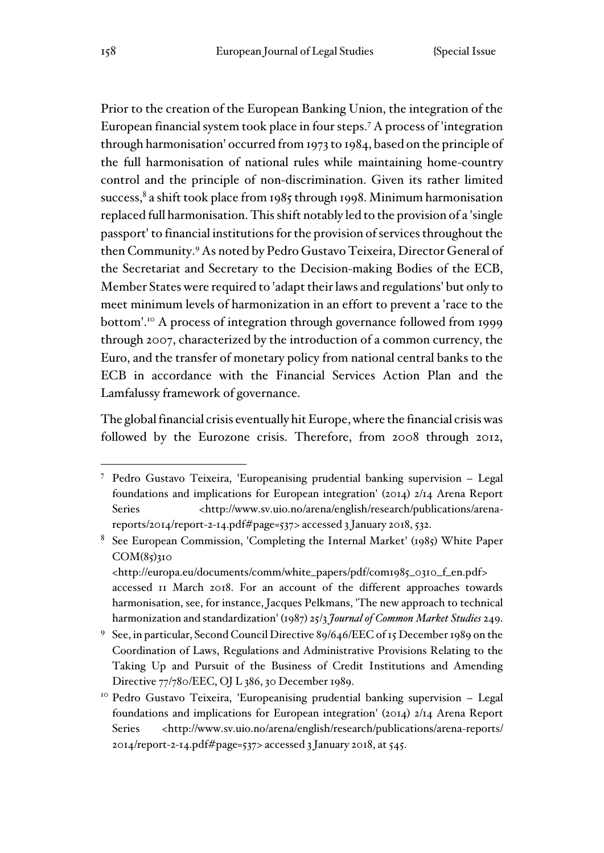Prior to the creation of the European Banking Union, the integration of the European financial system took place in four steps.<sup>7</sup> A process of 'integration through harmonisation' occurred from 1973 to 1984, based on the principle of the full harmonisation of national rules while maintaining home-country control and the principle of non-discrimination. Given its rather limited success,<sup>8</sup> a shift took place from 1985 through 1998. Minimum harmonisation replaced full harmonisation. This shift notably led to the provision of a 'single passport' to financial institutions for the provision of services throughout the then Community.<sup>9</sup> As noted by Pedro Gustavo Teixeira, Director General of the Secretariat and Secretary to the Decision-making Bodies of the ECB, Member States were required to 'adapt their laws and regulations' but only to meet minimum levels of harmonization in an effort to prevent a 'race to the bottom'.<sup>10</sup> A process of integration through governance followed from 1999 through 2007, characterized by the introduction of a common currency, the Euro, and the transfer of monetary policy from national central banks to the ECB in accordance with the Financial Services Action Plan and the Lamfalussy framework of governance.

The global financial crisis eventually hit Europe, where the financial crisis was followed by the Eurozone crisis. Therefore, from 2008 through 2012,

<sup>7</sup> Pedro Gustavo Teixeira, 'Europeanising prudential banking supervision – Legal foundations and implications for European integration' (2014) 2/14 Arena Report Series <http://www.sv.uio.no/arena/english/research/publications/arenareports/2014/report-2-14.pdf#page=537> accessed 3 January 2018, 532.

<sup>8</sup> See European Commission, 'Completing the Internal Market' (1985) White Paper  $COM(85)310$ 

<sup>&</sup>lt;http://europa.eu/documents/comm/white\_papers/pdf/com1985\_0310\_f\_en.pdf> accessed 11 March 2018. For an account of the different approaches towards harmonisation, see, for instance, Jacques Pelkmans, 'The new approach to technical harmonization and standardization' (1987) 25/3 *Journal of Common Market Studies* 249.

<sup>9</sup> See, in particular, Second Council Directive 89/646/EEC of 15 December 1989 on the Coordination of Laws, Regulations and Administrative Provisions Relating to the Taking Up and Pursuit of the Business of Credit Institutions and Amending Directive 77/780/EEC, OJ L 386, 30 December 1989.

<sup>10</sup> Pedro Gustavo Teixeira, 'Europeanising prudential banking supervision – Legal foundations and implications for European integration' (2014) 2/14 Arena Report Series <http://www.sv.uio.no/arena/english/research/publications/arena-reports/ 2014/report-2-14.pdf#page=537> accessed 3 January 2018, at 545.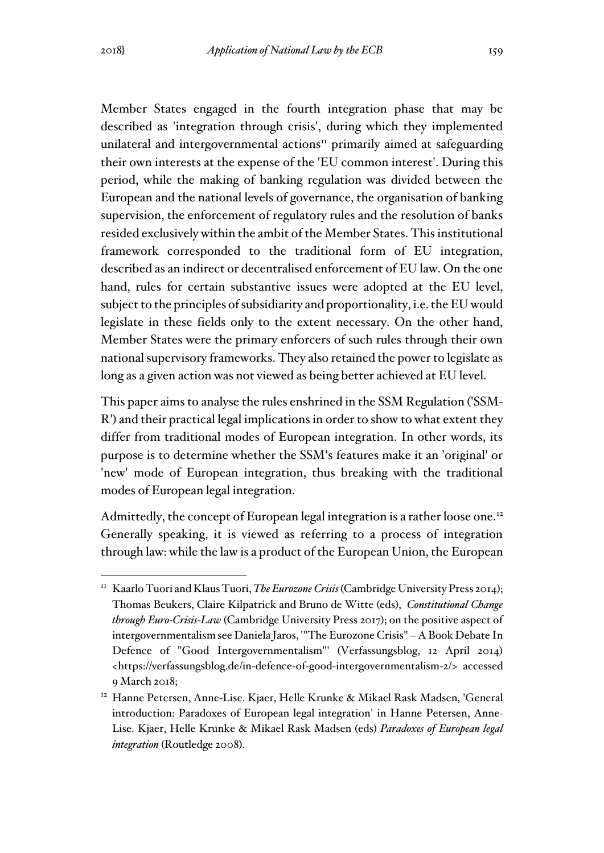Member States engaged in the fourth integration phase that may be described as 'integration through crisis', during which they implemented unilateral and intergovernmental actions $\mathbf{u}$  primarily aimed at safeguarding their own interests at the expense of the 'EU common interest'. During this period, while the making of banking regulation was divided between the European and the national levels of governance, the organisation of banking supervision, the enforcement of regulatory rules and the resolution of banks resided exclusively within the ambit of the Member States. This institutional framework corresponded to the traditional form of EU integration, described as an indirect or decentralised enforcement of EU law. On the one hand, rules for certain substantive issues were adopted at the EU level, subject to the principles of subsidiarity and proportionality, i.e. the EU would legislate in these fields only to the extent necessary. On the other hand, Member States were the primary enforcers of such rules through their own national supervisory frameworks. They also retained the power to legislate as long as a given action was not viewed as being better achieved at EU level.

This paper aims to analyse the rules enshrined in the SSM Regulation ('SSM-R') and their practical legal implications in order to show to what extent they differ from traditional modes of European integration. In other words, its purpose is to determine whether the SSM's features make it an 'original' or 'new' mode of European integration, thus breaking with the traditional modes of European legal integration.

Admittedly, the concept of European legal integration is a rather loose one.<sup>12</sup> Generally speaking, it is viewed as referring to a process of integration through law: while the law is a product of the European Union, the European

<sup>11</sup> Kaarlo Tuori and Klaus Tuori, *The Eurozone Crisis* (Cambridge University Press 2014); Thomas Beukers, Claire Kilpatrick and Bruno de Witte (eds), *Constitutional Change through Euro-Crisis-Law* (Cambridge University Press 2017); on the positive aspect of intergovernmentalism see Daniela Jaros, '"The Eurozone Crisis" – A Book Debate In Defence of "Good Intergovernmentalism"' (Verfassungsblog, 12 April 2014) <https://verfassungsblog.de/in-defence-of-good-intergovernmentalism-2/> accessed 9 March 2018;

<sup>12</sup> Hanne Petersen, Anne-Lise. Kjaer, Helle Krunke & Mikael Rask Madsen, 'General introduction: Paradoxes of European legal integration' in Hanne Petersen, Anne-Lise. Kjaer, Helle Krunke & Mikael Rask Madsen (eds) *Paradoxes of European legal integration* (Routledge 2008).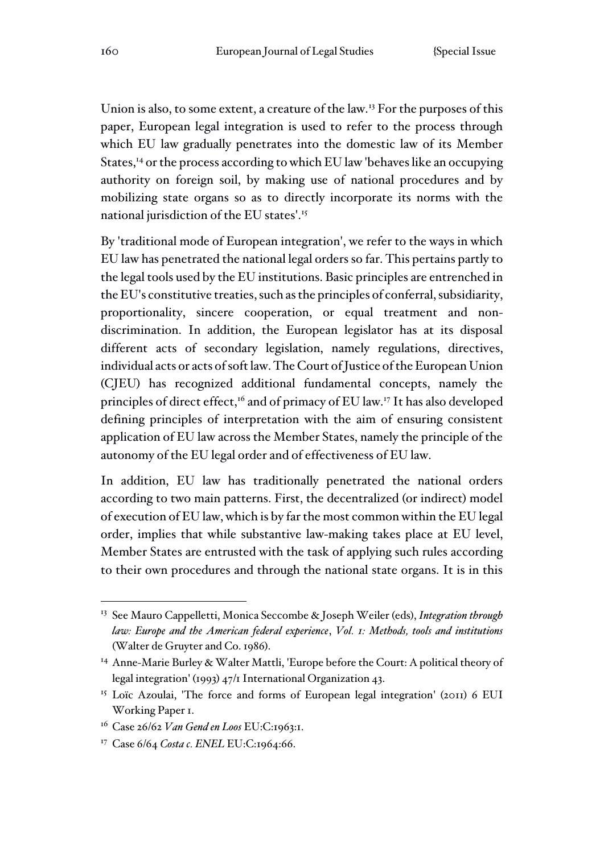Union is also, to some extent, a creature of the law.<sup>13</sup> For the purposes of this paper, European legal integration is used to refer to the process through which EU law gradually penetrates into the domestic law of its Member States,<sup>14</sup> or the process according to which EU law 'behaves like an occupying authority on foreign soil, by making use of national procedures and by mobilizing state organs so as to directly incorporate its norms with the national jurisdiction of the EU states'.<sup>15</sup>

By 'traditional mode of European integration', we refer to the ways in which EU law has penetrated the national legal orders so far. This pertains partly to the legal tools used by the EU institutions. Basic principles are entrenched in the EU's constitutive treaties, such as the principles of conferral, subsidiarity, proportionality, sincere cooperation, or equal treatment and nondiscrimination. In addition, the European legislator has at its disposal different acts of secondary legislation, namely regulations, directives, individual acts or acts of soft law. The Court of Justice of the European Union (CJEU) has recognized additional fundamental concepts, namely the principles of direct effect,<sup>16</sup> and of primacy of EU law.<sup>17</sup> It has also developed defining principles of interpretation with the aim of ensuring consistent application of EU law across the Member States, namely the principle of the autonomy of the EU legal order and of effectiveness of EU law.

In addition, EU law has traditionally penetrated the national orders according to two main patterns. First, the decentralized (or indirect) model of execution of EU law, which is by far the most common within the EU legal order, implies that while substantive law-making takes place at EU level, Member States are entrusted with the task of applying such rules according to their own procedures and through the national state organs. It is in this

<sup>13</sup> See Mauro Cappelletti, Monica Seccombe & Joseph Weiler (eds), *Integration through law: Europe and the American federal experience*, *Vol. 1: Methods, tools and institutions* (Walter de Gruyter and Co. 1986).

<sup>14</sup> Anne-Marie Burley & Walter Mattli, 'Europe before the Court: A political theory of legal integration' (1993) 47/1 International Organization 43.

<sup>&</sup>lt;sup>15</sup> Loïc Azoulai, 'The force and forms of European legal integration' (2011) 6 EUI Working Paper 1.

<sup>16</sup> Case 26/62 *Van Gend en Loos* EU:C:1963:1.

<sup>17</sup> Case 6/64 *Costa c. ENEL* EU:C:1964:66.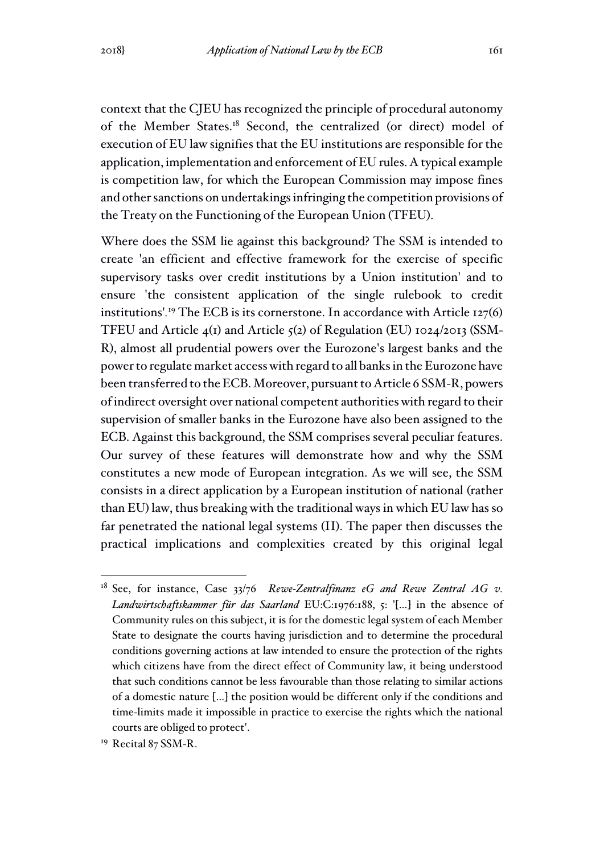context that the CJEU has recognized the principle of procedural autonomy of the Member States.<sup>18</sup> Second, the centralized (or direct) model of execution of EU law signifies that the EU institutions are responsible for the application, implementation and enforcement of EU rules. A typical example is competition law, for which the European Commission may impose fines and other sanctions on undertakings infringing the competition provisions of the Treaty on the Functioning of the European Union (TFEU).

Where does the SSM lie against this background? The SSM is intended to create 'an efficient and effective framework for the exercise of specific supervisory tasks over credit institutions by a Union institution' and to ensure 'the consistent application of the single rulebook to credit institutions'*.* <sup>19</sup> The ECB is its cornerstone. In accordance with Article 127(6) TFEU and Article  $4(1)$  and Article  $5(2)$  of Regulation (EU) 1024/2013 (SSM-R), almost all prudential powers over the Eurozone's largest banks and the power to regulate market access with regard to all banks in the Eurozone have been transferred to the ECB. Moreover, pursuant to Article 6 SSM-R, powers of indirect oversight over national competent authorities with regard to their supervision of smaller banks in the Eurozone have also been assigned to the ECB. Against this background, the SSM comprises several peculiar features. Our survey of these features will demonstrate how and why the SSM constitutes a new mode of European integration. As we will see, the SSM consists in a direct application by a European institution of national (rather than EU) law, thus breaking with the traditional ways in which EU law has so far penetrated the national legal systems (II). The paper then discusses the practical implications and complexities created by this original legal

<sup>18</sup> See, for instance, Case 33/76 *Rewe-Zentralfinanz eG and Rewe Zentral AG v. Landwirtschaftskammer für das Saarland* EU:C:1976:188, 5: '[…] in the absence of Community rules on this subject, it is for the domestic legal system of each Member State to designate the courts having jurisdiction and to determine the procedural conditions governing actions at law intended to ensure the protection of the rights which citizens have from the direct effect of Community law, it being understood that such conditions cannot be less favourable than those relating to similar actions of a domestic nature […] the position would be different only if the conditions and time-limits made it impossible in practice to exercise the rights which the national courts are obliged to protect'.

<sup>&</sup>lt;sup>19</sup> Recital 87 SSM-R.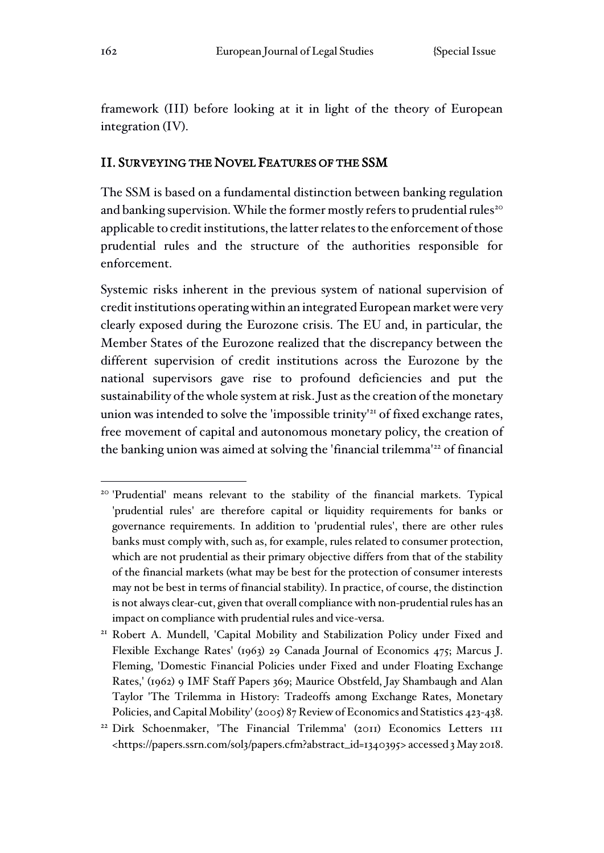framework (III) before looking at it in light of the theory of European integration (IV).

#### II. SURVEYING THE NOVEL FEATURES OF THE SSM

The SSM is based on a fundamental distinction between banking regulation and banking supervision. While the former mostly refers to prudential rules<sup>20</sup> applicable to credit institutions, the latter relates to the enforcement of those prudential rules and the structure of the authorities responsible for enforcement.

Systemic risks inherent in the previous system of national supervision of credit institutions operating within an integrated European market were very clearly exposed during the Eurozone crisis. The EU and, in particular, the Member States of the Eurozone realized that the discrepancy between the different supervision of credit institutions across the Eurozone by the national supervisors gave rise to profound deficiencies and put the sustainability of the whole system at risk. Just as the creation of the monetary union was intended to solve the 'impossible trinity'<sup>21</sup> of fixed exchange rates, free movement of capital and autonomous monetary policy, the creation of the banking union was aimed at solving the 'financial trilemma'<sup>22</sup> of financial

<sup>&</sup>lt;sup>20</sup> 'Prudential' means relevant to the stability of the financial markets. Typical 'prudential rules' are therefore capital or liquidity requirements for banks or governance requirements. In addition to 'prudential rules', there are other rules banks must comply with, such as, for example, rules related to consumer protection, which are not prudential as their primary objective differs from that of the stability of the financial markets (what may be best for the protection of consumer interests may not be best in terms of financial stability). In practice, of course, the distinction is not always clear-cut, given that overall compliance with non-prudential rules has an impact on compliance with prudential rules and vice-versa.

<sup>21</sup> Robert A. Mundell, 'Capital Mobility and Stabilization Policy under Fixed and Flexible Exchange Rates' (1963) 29 Canada Journal of Economics 475; Marcus J. Fleming, 'Domestic Financial Policies under Fixed and under Floating Exchange Rates,' (1962) 9 IMF Staff Papers 369; Maurice Obstfeld, Jay Shambaugh and Alan Taylor 'The Trilemma in History: Tradeoffs among Exchange Rates, Monetary Policies, and Capital Mobility' (2005) 87 Review of Economics and Statistics 423-438.

<sup>22</sup> Dirk Schoenmaker, 'The Financial Trilemma' (2011) Economics Letters 111 <https://papers.ssrn.com/sol3/papers.cfm?abstract\_id=1340395> accessed 3 May 2018.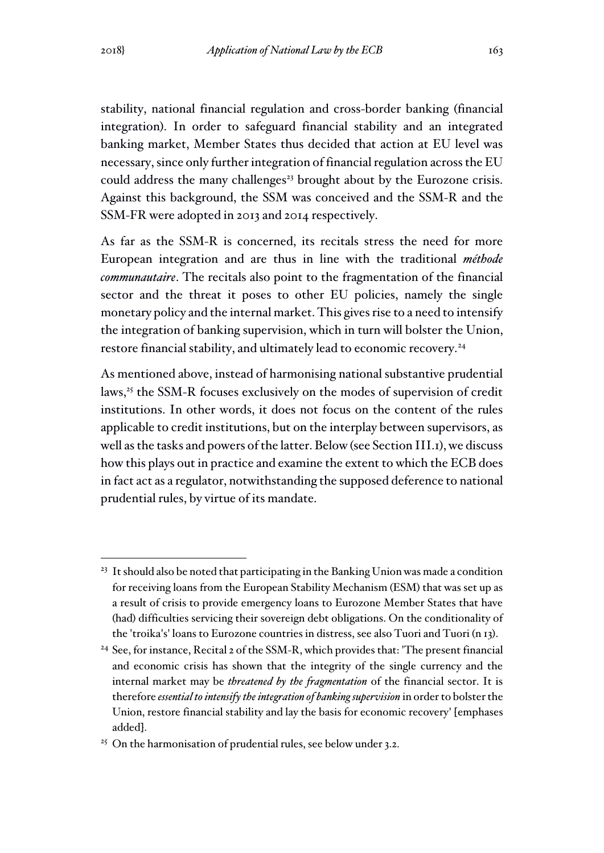stability, national financial regulation and cross-border banking (financial integration). In order to safeguard financial stability and an integrated banking market, Member States thus decided that action at EU level was necessary, since only further integration of financial regulation across the EU could address the many challenges<sup>23</sup> brought about by the Eurozone crisis. Against this background, the SSM was conceived and the SSM-R and the SSM-FR were adopted in 2013 and 2014 respectively.

As far as the SSM-R is concerned, its recitals stress the need for more European integration and are thus in line with the traditional *méthode communautaire*. The recitals also point to the fragmentation of the financial sector and the threat it poses to other EU policies, namely the single monetary policy and the internal market. This gives rise to a need to intensify the integration of banking supervision, which in turn will bolster the Union, restore financial stability, and ultimately lead to economic recovery.<sup>24</sup>

As mentioned above, instead of harmonising national substantive prudential laws,<sup>25</sup> the SSM-R focuses exclusively on the modes of supervision of credit institutions. In other words, it does not focus on the content of the rules applicable to credit institutions, but on the interplay between supervisors, as well as the tasks and powers of the latter. Below (see Section III.1), we discuss how this plays out in practice and examine the extent to which the ECB does in fact act as a regulator, notwithstanding the supposed deference to national prudential rules, by virtue of its mandate.

<sup>&</sup>lt;sup>23</sup> It should also be noted that participating in the Banking Union was made a condition for receiving loans from the European Stability Mechanism (ESM) that was set up as a result of crisis to provide emergency loans to Eurozone Member States that have (had) difficulties servicing their sovereign debt obligations. On the conditionality of the 'troika's' loans to Eurozone countries in distress, see also Tuori and Tuori (n 13).

<sup>24</sup> See, for instance, Recital 2 of the SSM-R, which provides that: 'The present financial and economic crisis has shown that the integrity of the single currency and the internal market may be *threatened by the fragmentation* of the financial sector. It is therefore *essential to intensify the integration of banking supervision* in order to bolster the Union, restore financial stability and lay the basis for economic recovery' [emphases added].

<sup>&</sup>lt;sup>25</sup> On the harmonisation of prudential rules, see below under 3.2.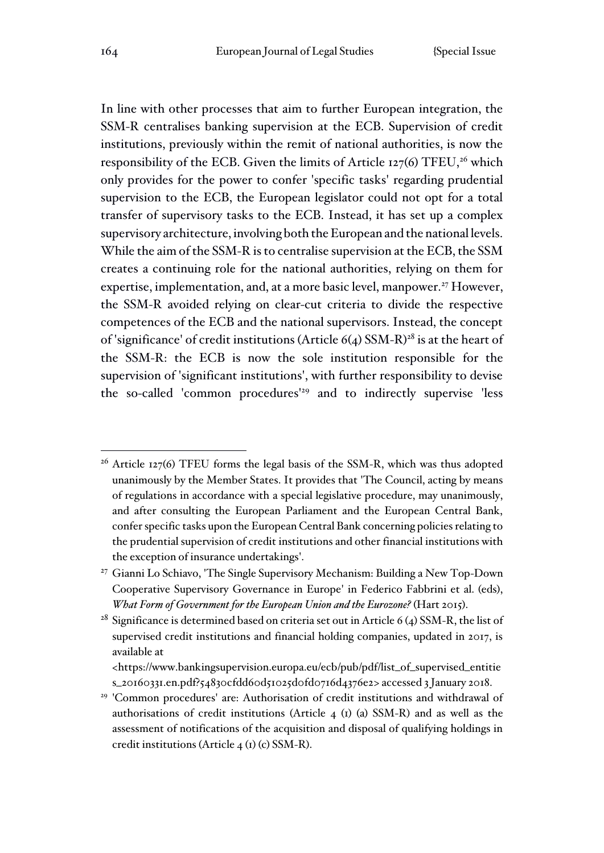In line with other processes that aim to further European integration, the SSM-R centralises banking supervision at the ECB. Supervision of credit institutions, previously within the remit of national authorities, is now the responsibility of the ECB. Given the limits of Article  $127(6)$  TFEU,<sup>26</sup> which only provides for the power to confer 'specific tasks' regarding prudential supervision to the ECB, the European legislator could not opt for a total transfer of supervisory tasks to the ECB. Instead, it has set up a complex supervisory architecture, involving both the European and the national levels. While the aim of the SSM-R is to centralise supervision at the ECB, the SSM creates a continuing role for the national authorities, relying on them for expertise, implementation, and, at a more basic level, manpower.<sup>27</sup> However, the SSM-R avoided relying on clear-cut criteria to divide the respective competences of the ECB and the national supervisors. Instead, the concept of 'significance' of credit institutions (Article  $6(4)$  SSM-R)<sup>28</sup> is at the heart of the SSM-R: the ECB is now the sole institution responsible for the supervision of 'significant institutions', with further responsibility to devise the so-called 'common procedures'<sup>29</sup> and to indirectly supervise 'less

<sup>28</sup> Significance is determined based on criteria set out in Article 6 (4) SSM-R, the list of supervised credit institutions and financial holding companies, updated in 2017, is available at

<sup>&</sup>lt;sup>26</sup> Article 127(6) TFEU forms the legal basis of the SSM-R, which was thus adopted unanimously by the Member States. It provides that 'The Council, acting by means of regulations in accordance with a special legislative procedure, may unanimously, and after consulting the European Parliament and the European Central Bank, confer specific tasks upon the European Central Bank concerning policies relating to the prudential supervision of credit institutions and other financial institutions with the exception of insurance undertakings'.

<sup>27</sup> Gianni Lo Schiavo, 'The Single Supervisory Mechanism: Building a New Top-Down Cooperative Supervisory Governance in Europe' in Federico Fabbrini et al. (eds), *What Form of Government for the European Union and the Eurozone?* (Hart 2015).

<sup>&</sup>lt;https://www.bankingsupervision.europa.eu/ecb/pub/pdf/list\_of\_supervised\_entitie s\_20160331.en.pdf?54830cfdd60d51025d0fd0716d4376e2> accessed 3 January 2018.

<sup>&</sup>lt;sup>29</sup> 'Common procedures' are: Authorisation of credit institutions and withdrawal of authorisations of credit institutions (Article 4 (1) (a) SSM-R) and as well as the assessment of notifications of the acquisition and disposal of qualifying holdings in credit institutions (Article 4 (1) (c) SSM-R).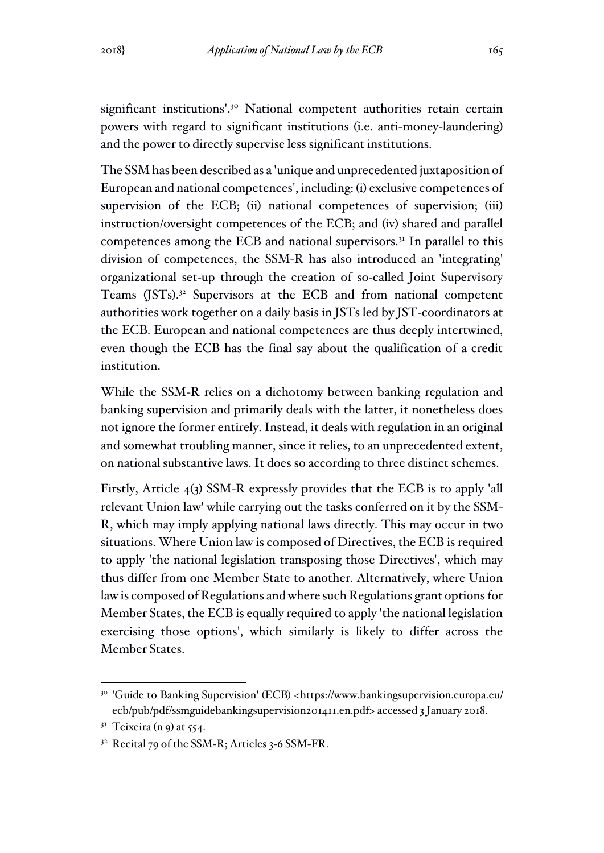significant institutions'.<sup>30</sup> National competent authorities retain certain powers with regard to significant institutions (i.e. anti-money-laundering) and the power to directly supervise less significant institutions.

The SSM has been described as a 'unique and unprecedented juxtaposition of European and national competences', including: (i) exclusive competences of supervision of the ECB; (ii) national competences of supervision; (iii) instruction/oversight competences of the ECB; and (iv) shared and parallel competences among the ECB and national supervisors.<sup>31</sup> In parallel to this division of competences, the SSM-R has also introduced an 'integrating' organizational set-up through the creation of so-called Joint Supervisory Teams (JSTs).<sup>32</sup> Supervisors at the ECB and from national competent authorities work together on a daily basis in JSTs led by JST-coordinators at the ECB. European and national competences are thus deeply intertwined, even though the ECB has the final say about the qualification of a credit institution.

While the SSM-R relies on a dichotomy between banking regulation and banking supervision and primarily deals with the latter, it nonetheless does not ignore the former entirely. Instead, it deals with regulation in an original and somewhat troubling manner, since it relies, to an unprecedented extent, on national substantive laws. It does so according to three distinct schemes.

Firstly, Article 4(3) SSM-R expressly provides that the ECB is to apply 'all relevant Union law' while carrying out the tasks conferred on it by the SSM-R, which may imply applying national laws directly. This may occur in two situations. Where Union law is composed of Directives, the ECB is required to apply 'the national legislation transposing those Directives', which may thus differ from one Member State to another. Alternatively, where Union law is composed of Regulations and where such Regulations grant options for Member States, the ECB is equally required to apply 'the national legislation exercising those options', which similarly is likely to differ across the Member States.

<sup>30</sup> 'Guide to Banking Supervision' (ECB) <https://www.bankingsupervision.europa.eu/ ecb/pub/pdf/ssmguidebankingsupervision201411.en.pdf> accessed 3 January 2018.

 $3<sup>I</sup>$  Teixeira (n 9) at 554.

 $32$  Recital 79 of the SSM-R; Articles 3-6 SSM-FR.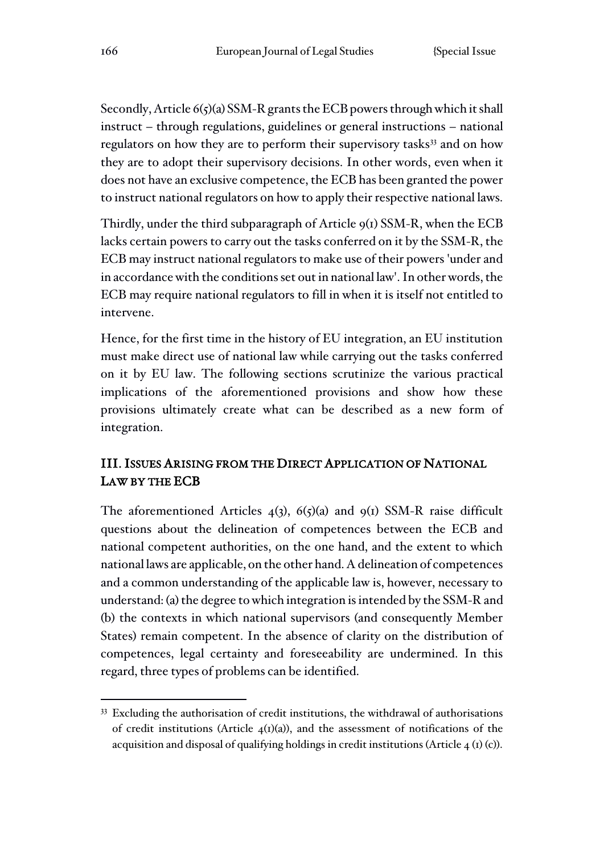Secondly, Article 6(5)(a) SSM-R grants the ECB powers through which it shall instruct – through regulations, guidelines or general instructions – national regulators on how they are to perform their supervisory tasks<sup>33</sup> and on how they are to adopt their supervisory decisions. In other words, even when it does not have an exclusive competence, the ECB has been granted the power to instruct national regulators on how to apply their respective national laws.

Thirdly, under the third subparagraph of Article  $9(1)$  SSM-R, when the ECB lacks certain powers to carry out the tasks conferred on it by the SSM-R, the ECB may instruct national regulators to make use of their powers 'under and in accordance with the conditions set out in national law'. In other words, the ECB may require national regulators to fill in when it is itself not entitled to intervene.

Hence, for the first time in the history of EU integration, an EU institution must make direct use of national law while carrying out the tasks conferred on it by EU law. The following sections scrutinize the various practical implications of the aforementioned provisions and show how these provisions ultimately create what can be described as a new form of integration.

# III. ISSUES ARISING FROM THE DIRECT APPLICATION OF NATIONAL LAW BY THE ECB

The aforementioned Articles  $4(3)$ ,  $6(5)(a)$  and  $9(1)$  SSM-R raise difficult questions about the delineation of competences between the ECB and national competent authorities, on the one hand, and the extent to which national laws are applicable, on the other hand. A delineation of competences and a common understanding of the applicable law is, however, necessary to understand: (a) the degree to which integration is intended by the SSM-R and (b) the contexts in which national supervisors (and consequently Member States) remain competent. In the absence of clarity on the distribution of competences, legal certainty and foreseeability are undermined. In this regard, three types of problems can be identified.

<sup>33</sup> Excluding the authorisation of credit institutions, the withdrawal of authorisations of credit institutions (Article  $\phi_1(x)$ ), and the assessment of notifications of the acquisition and disposal of qualifying holdings in credit institutions (Article  $4 \text{ (r)} \text{ (c)}$ ).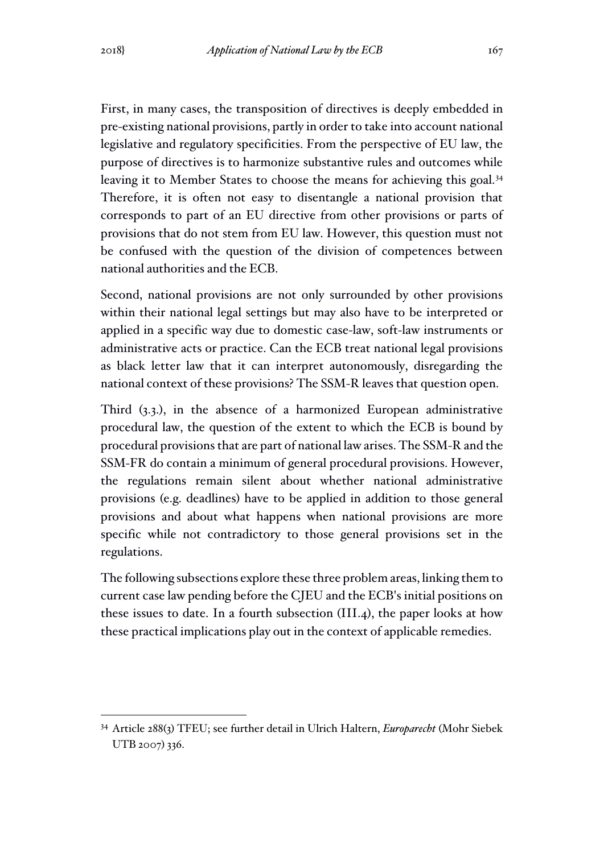First, in many cases, the transposition of directives is deeply embedded in pre-existing national provisions, partly in order to take into account national legislative and regulatory specificities. From the perspective of EU law, the purpose of directives is to harmonize substantive rules and outcomes while leaving it to Member States to choose the means for achieving this goal.<sup>34</sup> Therefore, it is often not easy to disentangle a national provision that corresponds to part of an EU directive from other provisions or parts of provisions that do not stem from EU law. However, this question must not be confused with the question of the division of competences between national authorities and the ECB.

Second, national provisions are not only surrounded by other provisions within their national legal settings but may also have to be interpreted or applied in a specific way due to domestic case-law, soft-law instruments or administrative acts or practice. Can the ECB treat national legal provisions as black letter law that it can interpret autonomously, disregarding the national context of these provisions? The SSM-R leaves that question open.

Third (3.3.), in the absence of a harmonized European administrative procedural law, the question of the extent to which the ECB is bound by procedural provisions that are part of national law arises. The SSM-R and the SSM-FR do contain a minimum of general procedural provisions. However, the regulations remain silent about whether national administrative provisions (e.g. deadlines) have to be applied in addition to those general provisions and about what happens when national provisions are more specific while not contradictory to those general provisions set in the regulations.

The following subsections explore these three problem areas, linking them to current case law pending before the CJEU and the ECB's initial positions on these issues to date. In a fourth subsection (III.4), the paper looks at how these practical implications play out in the context of applicable remedies.

<sup>34</sup> Article 288(3) TFEU; see further detail in Ulrich Haltern, *Europarecht* (Mohr Siebek UTB 2007) 336.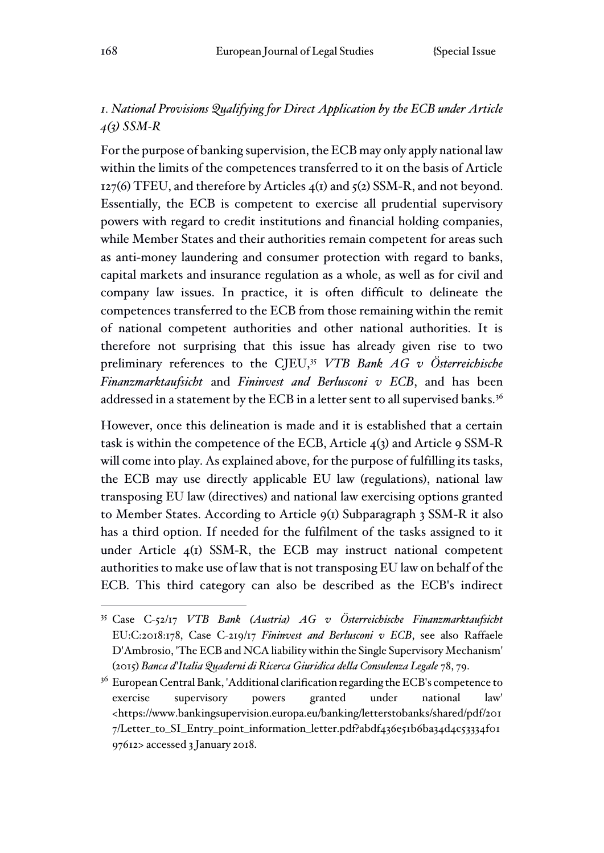## *1. National Provisions Qualifying for Direct Application by the ECB under Article 4(3) SSM-R*

For the purpose of banking supervision, the ECB may only apply national law within the limits of the competences transferred to it on the basis of Article 127(6) TFEU, and therefore by Articles  $4(1)$  and  $5(2)$  SSM-R, and not beyond. Essentially, the ECB is competent to exercise all prudential supervisory powers with regard to credit institutions and financial holding companies, while Member States and their authorities remain competent for areas such as anti-money laundering and consumer protection with regard to banks, capital markets and insurance regulation as a whole, as well as for civil and company law issues. In practice, it is often difficult to delineate the competences transferred to the ECB from those remaining within the remit of national competent authorities and other national authorities. It is therefore not surprising that this issue has already given rise to two preliminary references to the CJEU,<sup>35</sup> *VTB Bank AG v Österreichische Finanzmarktaufsicht* and *Fininvest and Berlusconi v ECB*, and has been addressed in a statement by the ECB in a letter sent to all supervised banks.<sup>36</sup>

However, once this delineation is made and it is established that a certain task is within the competence of the ECB, Article  $4(3)$  and Article 9 SSM-R will come into play. As explained above, for the purpose of fulfilling its tasks, the ECB may use directly applicable EU law (regulations), national law transposing EU law (directives) and national law exercising options granted to Member States. According to Article 9(1) Subparagraph 3 SSM-R it also has a third option. If needed for the fulfilment of the tasks assigned to it under Article  $_4$ (1) SSM-R, the ECB may instruct national competent authorities to make use of law that is not transposing EU law on behalf of the ECB. This third category can also be described as the ECB's indirect

<sup>35</sup> Case C-52/17 *VTB Bank (Austria) AG v Österreichische Finanzmarktaufsicht*  EU:C:2018:178, Case C-219/17 *Fininvest and Berlusconi v ECB*, see also Raffaele D'Ambrosio, 'The ECB and NCA liability within the Single Supervisory Mechanism' (2015) *Banca d'Italia Quaderni di Ricerca Giuridica della Consulenza Legale* 78, 79.

<sup>&</sup>lt;sup>36</sup> European Central Bank, 'Additional clarification regarding the ECB's competence to exercise supervisory powers granted under national law' <https://www.bankingsupervision.europa.eu/banking/letterstobanks/shared/pdf/201 7/Letter\_to\_SI\_Entry\_point\_information\_letter.pdf?abdf436e51b6ba34d4c53334f01 97612> accessed 3 January 2018.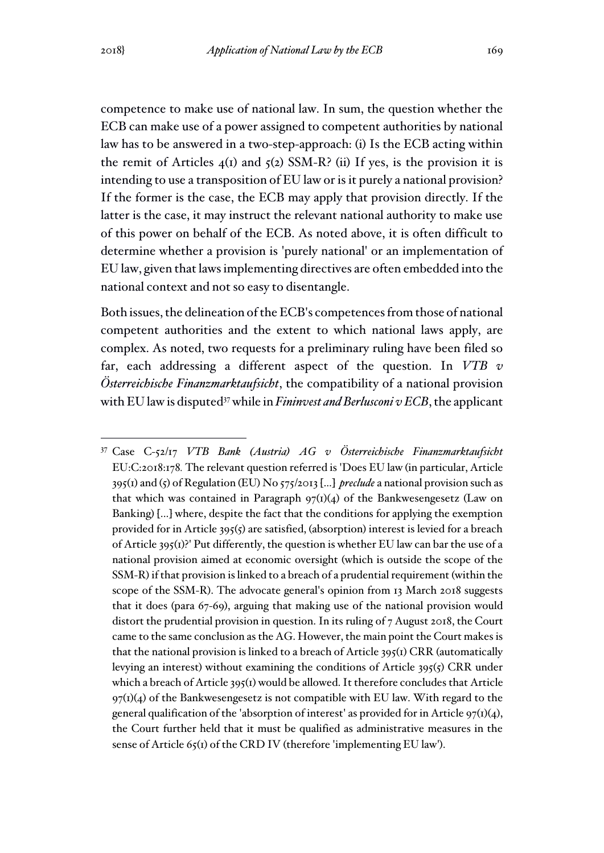competence to make use of national law. In sum, the question whether the ECB can make use of a power assigned to competent authorities by national law has to be answered in a two-step-approach: (i) Is the ECB acting within the remit of Articles  $4<sub>(1)</sub>$  and  $5<sub>(2)</sub>$  SSM-R? (ii) If yes, is the provision it is intending to use a transposition of EU law or is it purely a national provision? If the former is the case, the ECB may apply that provision directly. If the latter is the case, it may instruct the relevant national authority to make use of this power on behalf of the ECB. As noted above, it is often difficult to determine whether a provision is 'purely national' or an implementation of EU law, given that laws implementing directives are often embedded into the national context and not so easy to disentangle.

Both issues, the delineation of the ECB's competences from those of national competent authorities and the extent to which national laws apply, are complex. As noted, two requests for a preliminary ruling have been filed so far, each addressing a different aspect of the question. In *VTB v Österreichische Finanzmarktaufsicht*, the compatibility of a national provision with EU law is disputed<sup>37</sup> while in *Fininvest and Berlusconi v ECB*, the applicant

<sup>37</sup> Case C-52/17 *VTB Bank (Austria) AG v Österreichische Finanzmarktaufsicht*  EU:C:2018:178*.* The relevant question referred is 'Does EU law (in particular, Article 395(1) and (5) of Regulation (EU) No 575/2013 [...] *preclude* a national provision such as that which was contained in Paragraph  $97(1)(4)$  of the Bankwesengesetz (Law on Banking) [...] where, despite the fact that the conditions for applying the exemption provided for in Article 395(5) are satisfied, (absorption) interest is levied for a breach of Article 395(1)?' Put differently, the question is whether EU law can bar the use of a national provision aimed at economic oversight (which is outside the scope of the SSM-R) if that provision is linked to a breach of a prudential requirement (within the scope of the SSM-R). The advocate general's opinion from 13 March 2018 suggests that it does (para 67-69), arguing that making use of the national provision would distort the prudential provision in question. In its ruling of 7 August 2018, the Court came to the same conclusion as the AG. However, the main point the Court makes is that the national provision is linked to a breach of Article  $395(i)$  CRR (automatically levying an interest) without examining the conditions of Article  $395(5)$  CRR under which a breach of Article  $395(1)$  would be allowed. It therefore concludes that Article  $97(I)(4)$  of the Bankwesengesetz is not compatible with EU law. With regard to the general qualification of the 'absorption of interest' as provided for in Article  $97(1)(4)$ , the Court further held that it must be qualified as administrative measures in the sense of Article 65(1) of the CRD IV (therefore 'implementing EU law').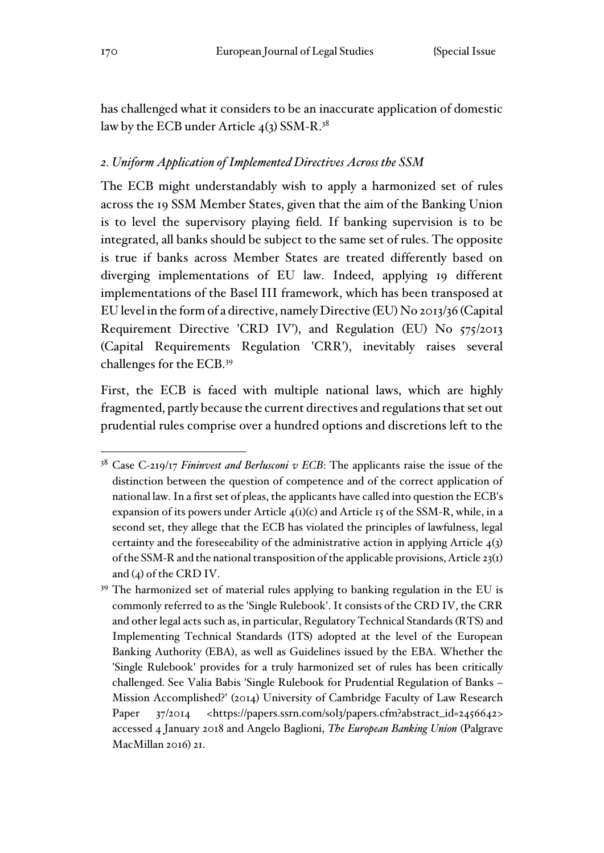has challenged what it considers to be an inaccurate application of domestic law by the ECB under Article  $4(3)$  SSM-R.<sup>38</sup>

### *2. Uniform Application of Implemented Directives Across the SSM*

The ECB might understandably wish to apply a harmonized set of rules across the 19 SSM Member States, given that the aim of the Banking Union is to level the supervisory playing field. If banking supervision is to be integrated, all banks should be subject to the same set of rules. The opposite is true if banks across Member States are treated differently based on diverging implementations of EU law. Indeed, applying 19 different implementations of the Basel III framework, which has been transposed at EU level in the form of a directive, namely Directive (EU) No 2013/36 (Capital Requirement Directive 'CRD IV'), and Regulation (EU) No 575/2013 (Capital Requirements Regulation 'CRR'), inevitably raises several challenges for the ECB.<sup>39</sup>

First, the ECB is faced with multiple national laws, which are highly fragmented, partly because the current directives and regulations that set out prudential rules comprise over a hundred options and discretions left to the

<sup>38</sup> Case C-219/17 *Fininvest and Berlusconi v ECB*: The applicants raise the issue of the distinction between the question of competence and of the correct application of national law. In a first set of pleas, the applicants have called into question the ECB's expansion of its powers under Article  $4(1)(c)$  and Article 15 of the SSM-R, while, in a second set, they allege that the ECB has violated the principles of lawfulness, legal certainty and the foreseeability of the administrative action in applying Article 4(3) of the SSM-R and the national transposition of the applicable provisions, Article 23(1) and (4) of the CRD IV.

<sup>39</sup> The harmonized set of material rules applying to banking regulation in the EU is commonly referred to as the 'Single Rulebook'. It consists of the CRD IV, the CRR and other legal acts such as, in particular, Regulatory Technical Standards (RTS) and Implementing Technical Standards (ITS) adopted at the level of the European Banking Authority (EBA), as well as Guidelines issued by the EBA. Whether the 'Single Rulebook' provides for a truly harmonized set of rules has been critically challenged. See Valia Babis 'Single Rulebook for Prudential Regulation of Banks – Mission Accomplished?' (2014) University of Cambridge Faculty of Law Research Paper 37/2014 <https://papers.ssrn.com/sol3/papers.cfm?abstract\_id=2456642> accessed 4 January 2018 and Angelo Baglioni, *The European Banking Union* (Palgrave MacMillan 2016) 21.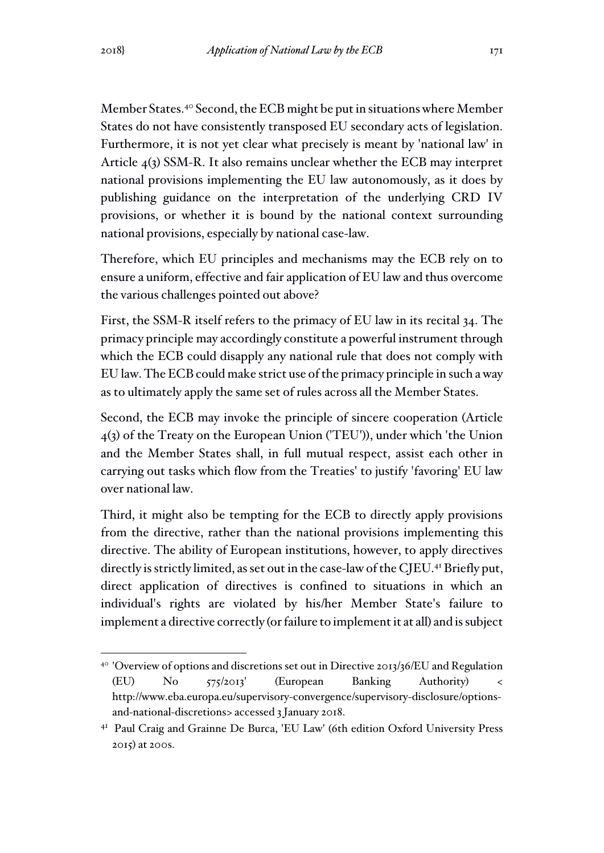Member States.<sup>40</sup> Second, the ECB might be put in situations where Member States do not have consistently transposed EU secondary acts of legislation. Furthermore, it is not yet clear what precisely is meant by 'national law' in Article 4(3) SSM-R. It also remains unclear whether the ECB may interpret national provisions implementing the EU law autonomously, as it does by publishing guidance on the interpretation of the underlying CRD IV provisions, or whether it is bound by the national context surrounding national provisions, especially by national case-law.

Therefore, which EU principles and mechanisms may the ECB rely on to ensure a uniform, effective and fair application of EU law and thus overcome the various challenges pointed out above?

First, the SSM-R itself refers to the primacy of EU law in its recital 34. The primacy principle may accordingly constitute a powerful instrument through which the ECB could disapply any national rule that does not comply with EU law. The ECB could make strict use of the primacy principle in such a way as to ultimately apply the same set of rules across all the Member States.

Second, the ECB may invoke the principle of sincere cooperation (Article 4(3) of the Treaty on the European Union ('TEU')), under which 'the Union and the Member States shall, in full mutual respect, assist each other in carrying out tasks which flow from the Treaties' to justify 'favoring' EU law over national law.

Third, it might also be tempting for the ECB to directly apply provisions from the directive, rather than the national provisions implementing this directive. The ability of European institutions, however, to apply directives directly is strictly limited, as set out in the case-law of the CJEU.<sup>41</sup> Briefly put, direct application of directives is confined to situations in which an individual's rights are violated by his/her Member State's failure to implement a directive correctly (or failure to implement it at all) and is subject

<sup>&</sup>lt;sup>40</sup> 'Overview of options and discretions set out in Directive 2013/36/EU and Regulation (EU) No 575/2013' (European Banking Authority) < http://www.eba.europa.eu/supervisory-convergence/supervisory-disclosure/optionsand-national-discretions> accessed 3 January 2018.

<sup>41</sup> Paul Craig and Grainne De Burca, 'EU Law' (6th edition Oxford University Press 2015) at 200s.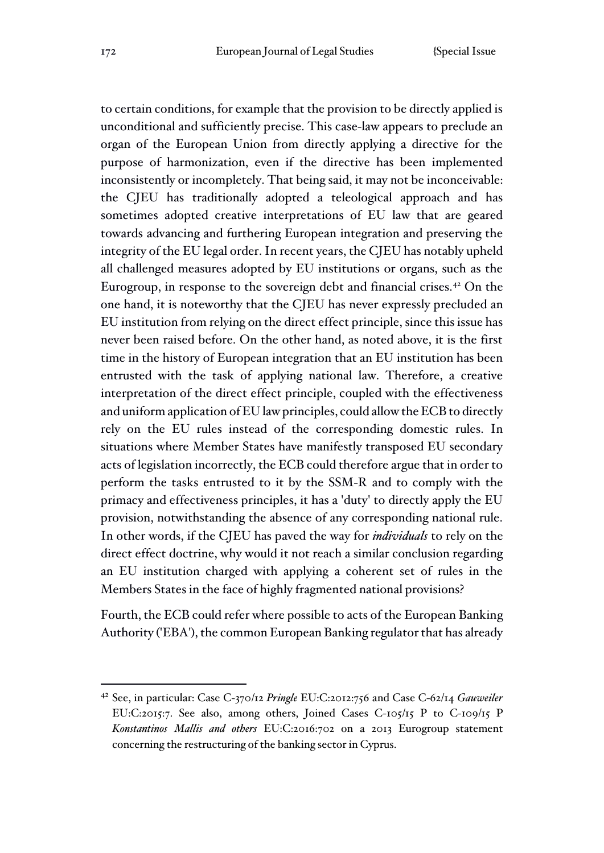to certain conditions, for example that the provision to be directly applied is unconditional and sufficiently precise. This case-law appears to preclude an organ of the European Union from directly applying a directive for the purpose of harmonization, even if the directive has been implemented inconsistently or incompletely. That being said, it may not be inconceivable: the CJEU has traditionally adopted a teleological approach and has sometimes adopted creative interpretations of EU law that are geared towards advancing and furthering European integration and preserving the integrity of the EU legal order. In recent years, the CJEU has notably upheld all challenged measures adopted by EU institutions or organs, such as the Eurogroup, in response to the sovereign debt and financial crises.<sup>42</sup> On the one hand, it is noteworthy that the CJEU has never expressly precluded an EU institution from relying on the direct effect principle, since this issue has never been raised before. On the other hand, as noted above, it is the first time in the history of European integration that an EU institution has been entrusted with the task of applying national law. Therefore, a creative interpretation of the direct effect principle, coupled with the effectiveness and uniform application of EU law principles, could allow the ECB to directly rely on the EU rules instead of the corresponding domestic rules. In situations where Member States have manifestly transposed EU secondary acts of legislation incorrectly, the ECB could therefore argue that in order to perform the tasks entrusted to it by the SSM-R and to comply with the primacy and effectiveness principles, it has a 'duty' to directly apply the EU provision, notwithstanding the absence of any corresponding national rule. In other words, if the CJEU has paved the way for *individuals* to rely on the direct effect doctrine, why would it not reach a similar conclusion regarding an EU institution charged with applying a coherent set of rules in the Members States in the face of highly fragmented national provisions?

Fourth, the ECB could refer where possible to acts of the European Banking Authority ('EBA'), the common European Banking regulator that has already

<sup>42</sup> See, in particular: Case C-370/12 *Pringle* EU:C:2012:756 and Case C-62/14 *Gauweiler* EU:C:2015:7. See also, among others, Joined Cases C-105/15 P to C-109/15 P *Konstantinos Mallis and others* EU:C:2016:702 on a 2013 Eurogroup statement concerning the restructuring of the banking sector in Cyprus.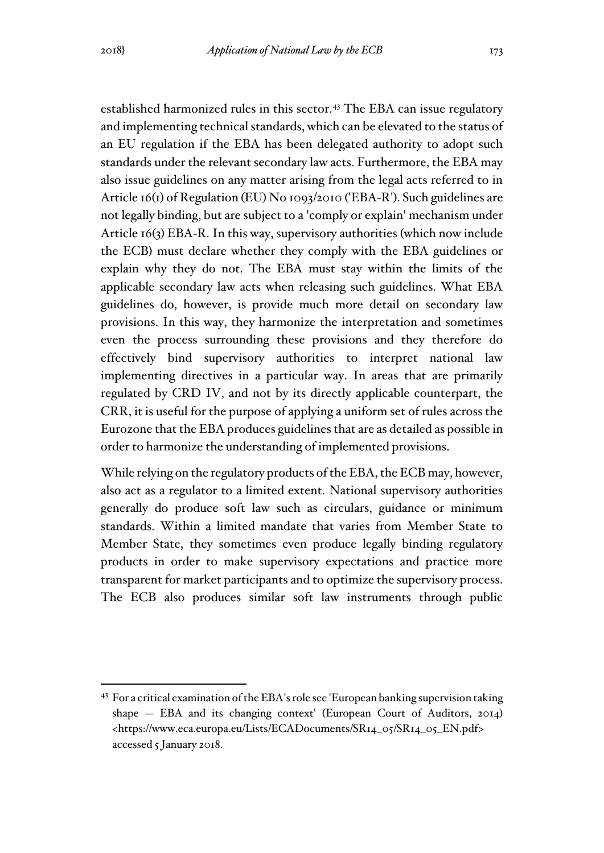established harmonized rules in this sector.<sup>43</sup> The EBA can issue regulatory and implementing technical standards, which can be elevated to the status of an EU regulation if the EBA has been delegated authority to adopt such standards under the relevant secondary law acts. Furthermore, the EBA may also issue guidelines on any matter arising from the legal acts referred to in Article 16(1) of Regulation (EU) No 1093/2010 ('EBA-R'). Such guidelines are not legally binding, but are subject to a 'comply or explain' mechanism under Article 16(3) EBA-R. In this way, supervisory authorities (which now include the ECB) must declare whether they comply with the EBA guidelines or explain why they do not. The EBA must stay within the limits of the applicable secondary law acts when releasing such guidelines. What EBA guidelines do, however, is provide much more detail on secondary law provisions. In this way, they harmonize the interpretation and sometimes even the process surrounding these provisions and they therefore do effectively bind supervisory authorities to interpret national law implementing directives in a particular way. In areas that are primarily regulated by CRD IV, and not by its directly applicable counterpart, the CRR, it is useful for the purpose of applying a uniform set of rules across the Eurozone that the EBA produces guidelines that are as detailed as possible in order to harmonize the understanding of implemented provisions.

While relying on the regulatory products of the EBA, the ECB may, however, also act as a regulator to a limited extent. National supervisory authorities generally do produce soft law such as circulars, guidance or minimum standards. Within a limited mandate that varies from Member State to Member State, they sometimes even produce legally binding regulatory products in order to make supervisory expectations and practice more transparent for market participants and to optimize the supervisory process. The ECB also produces similar soft law instruments through public

<sup>43</sup> For a critical examination of the EBA's role see 'European banking supervision taking shape — EBA and its changing context' (European Court of Auditors, 2014) <https://www.eca.europa.eu/Lists/ECADocuments/SR14\_05/SR14\_05\_EN.pdf> accessed 5 January 2018.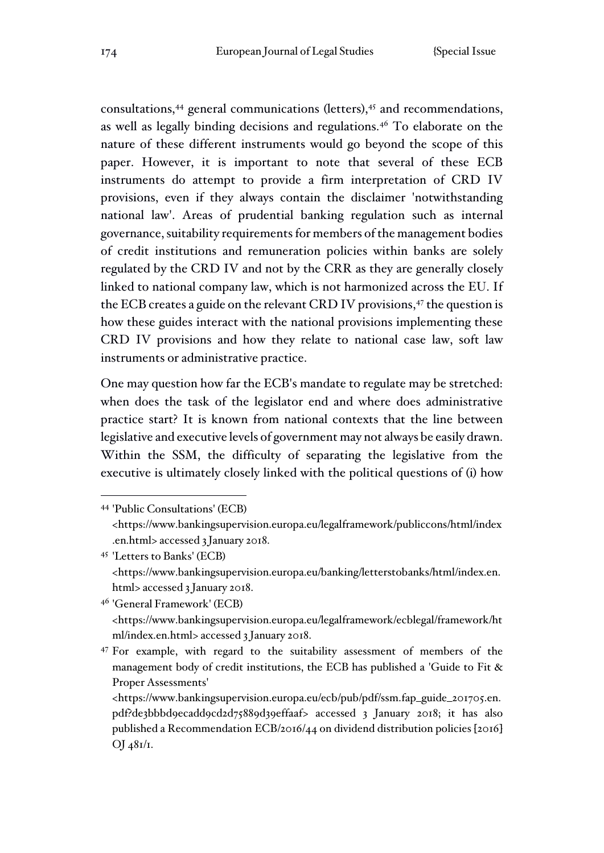consultations, $44$  general communications (letters), $45$  and recommendations, as well as legally binding decisions and regulations.<sup>46</sup> To elaborate on the nature of these different instruments would go beyond the scope of this paper. However, it is important to note that several of these ECB instruments do attempt to provide a firm interpretation of CRD IV provisions, even if they always contain the disclaimer 'notwithstanding national law'. Areas of prudential banking regulation such as internal governance, suitability requirements for members of the management bodies of credit institutions and remuneration policies within banks are solely regulated by the CRD IV and not by the CRR as they are generally closely linked to national company law, which is not harmonized across the EU. If the ECB creates a guide on the relevant CRD IV provisions,<sup>47</sup> the question is how these guides interact with the national provisions implementing these CRD IV provisions and how they relate to national case law, soft law instruments or administrative practice.

One may question how far the ECB's mandate to regulate may be stretched: when does the task of the legislator end and where does administrative practice start? It is known from national contexts that the line between legislative and executive levels of government may not always be easily drawn. Within the SSM, the difficulty of separating the legislative from the executive is ultimately closely linked with the political questions of (i) how

<sup>46</sup> 'General Framework' (ECB) <https://www.bankingsupervision.europa.eu/legalframework/ecblegal/framework/ht ml/index.en.html> accessed 3 January 2018.

<sup>47</sup> For example, with regard to the suitability assessment of members of the management body of credit institutions, the ECB has published a 'Guide to Fit & Proper Assessments'

<https://www.bankingsupervision.europa.eu/ecb/pub/pdf/ssm.fap\_guide\_201705.en. pdf?de3bbbd9ecadd9cd2d75889d39effaaf> accessed 3 January 2018; it has also published a Recommendation ECB/2016/44 on dividend distribution policies [2016]  $OJ \frac{48I}{I}$ .

<sup>44</sup> 'Public Consultations' (ECB) <https://www.bankingsupervision.europa.eu/legalframework/publiccons/html/index .en.html> accessed 3 January 2018.

<sup>45</sup> 'Letters to Banks' (ECB) <https://www.bankingsupervision.europa.eu/banking/letterstobanks/html/index.en. html> accessed 3 January 2018.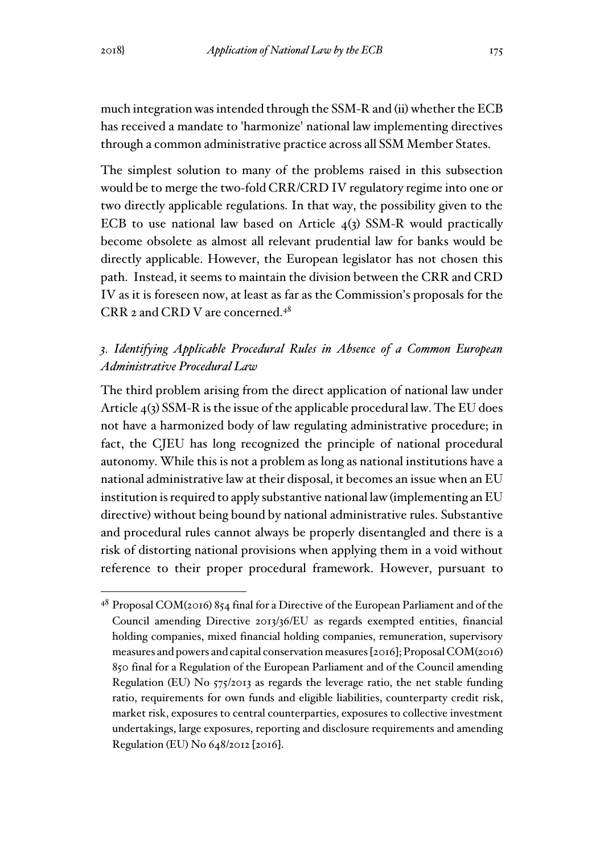much integration was intended through the SSM-R and (ii) whether the ECB has received a mandate to 'harmonize' national law implementing directives through a common administrative practice across all SSM Member States.

The simplest solution to many of the problems raised in this subsection would be to merge the two-fold CRR/CRD IV regulatory regime into one or two directly applicable regulations. In that way, the possibility given to the ECB to use national law based on Article 4(3) SSM-R would practically become obsolete as almost all relevant prudential law for banks would be directly applicable. However, the European legislator has not chosen this path. Instead, it seems to maintain the division between the CRR and CRD IV as it is foreseen now, at least as far as the Commission's proposals for the CRR 2 and CRD V are concerned.<sup>48</sup>

## *3. Identifying Applicable Procedural Rules in Absence of a Common European Administrative Procedural Law*

The third problem arising from the direct application of national law under Article 4(3) SSM-R is the issue of the applicable procedural law. The EU does not have a harmonized body of law regulating administrative procedure; in fact, the CJEU has long recognized the principle of national procedural autonomy. While this is not a problem as long as national institutions have a national administrative law at their disposal, it becomes an issue when an EU institution is required to apply substantive national law (implementing an EU directive) without being bound by national administrative rules. Substantive and procedural rules cannot always be properly disentangled and there is a risk of distorting national provisions when applying them in a void without reference to their proper procedural framework. However, pursuant to

<sup>48</sup> Proposal COM(2016) 854 final for a Directive of the European Parliament and of the Council amending Directive 2013/36/EU as regards exempted entities, financial holding companies, mixed financial holding companies, remuneration, supervisory measures and powers and capital conservation measures [2016]; Proposal COM(2016) 850 final for a Regulation of the European Parliament and of the Council amending Regulation (EU) No 575/2013 as regards the leverage ratio, the net stable funding ratio, requirements for own funds and eligible liabilities, counterparty credit risk, market risk, exposures to central counterparties, exposures to collective investment undertakings, large exposures, reporting and disclosure requirements and amending Regulation (EU) No 648/2012 [2016].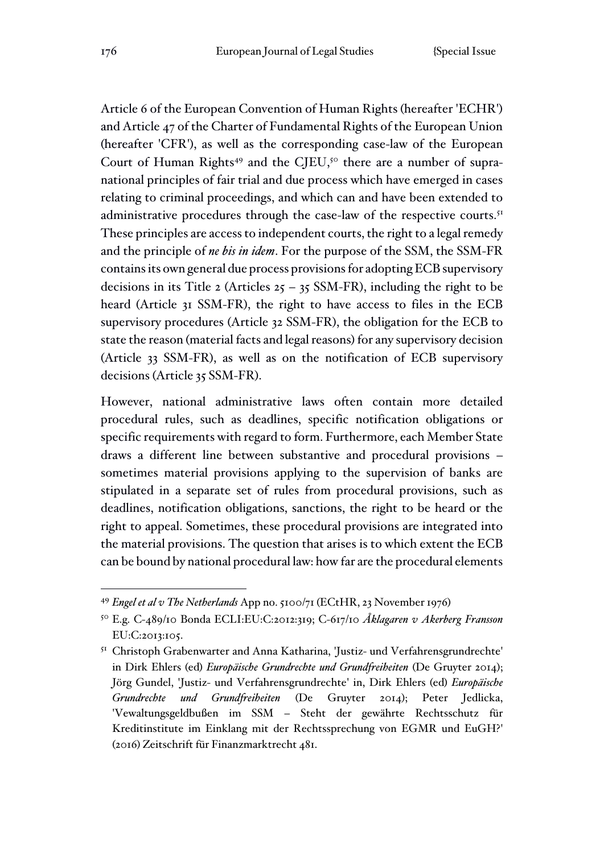Article 6 of the European Convention of Human Rights (hereafter 'ECHR') and Article 47 of the Charter of Fundamental Rights of the European Union (hereafter 'CFR'), as well as the corresponding case-law of the European Court of Human Rights<sup>49</sup> and the CJEU,<sup>50</sup> there are a number of supranational principles of fair trial and due process which have emerged in cases relating to criminal proceedings, and which can and have been extended to administrative procedures through the case-law of the respective courts.<sup>51</sup> These principles are access to independent courts, the right to a legal remedy and the principle of *ne bis in idem*. For the purpose of the SSM, the SSM-FR contains its own general due process provisions for adopting ECB supervisory decisions in its Title 2 (Articles  $25 - 35$  SSM-FR), including the right to be heard (Article 31 SSM-FR), the right to have access to files in the ECB supervisory procedures (Article 32 SSM-FR), the obligation for the ECB to state the reason (material facts and legal reasons) for any supervisory decision (Article 33 SSM-FR), as well as on the notification of ECB supervisory decisions (Article 35 SSM-FR).

However, national administrative laws often contain more detailed procedural rules, such as deadlines, specific notification obligations or specific requirements with regard to form. Furthermore, each Member State draws a different line between substantive and procedural provisions – sometimes material provisions applying to the supervision of banks are stipulated in a separate set of rules from procedural provisions, such as deadlines, notification obligations, sanctions, the right to be heard or the right to appeal. Sometimes, these procedural provisions are integrated into the material provisions. The question that arises is to which extent the ECB can be bound by national procedural law: how far are the procedural elements

<sup>49</sup> *Engel et al v The Netherlands* App no. 5100/71 (ECtHR, 23 November 1976)

<sup>50</sup> E.g. C-489/10 Bonda ECLI:EU:C:2012:319; C-617/10 *Åklagaren v Akerberg Fransson*  EU:C:2013:105.

<sup>51</sup> Christoph Grabenwarter and Anna Katharina, 'Justiz- und Verfahrensgrundrechte' in Dirk Ehlers (ed) *Europäische Grundrechte und Grundfreiheiten* (De Gruyter 2014); Jörg Gundel, 'Justiz- und Verfahrensgrundrechte' in, Dirk Ehlers (ed) *Europäische Grundrechte und Grundfreiheiten* (De Gruyter 2014); Peter Jedlicka, 'Vewaltungsgeldbußen im SSM – Steht der gewährte Rechtsschutz für Kreditinstitute im Einklang mit der Rechtssprechung von EGMR und EuGH?' (2016) Zeitschrift für Finanzmarktrecht 481.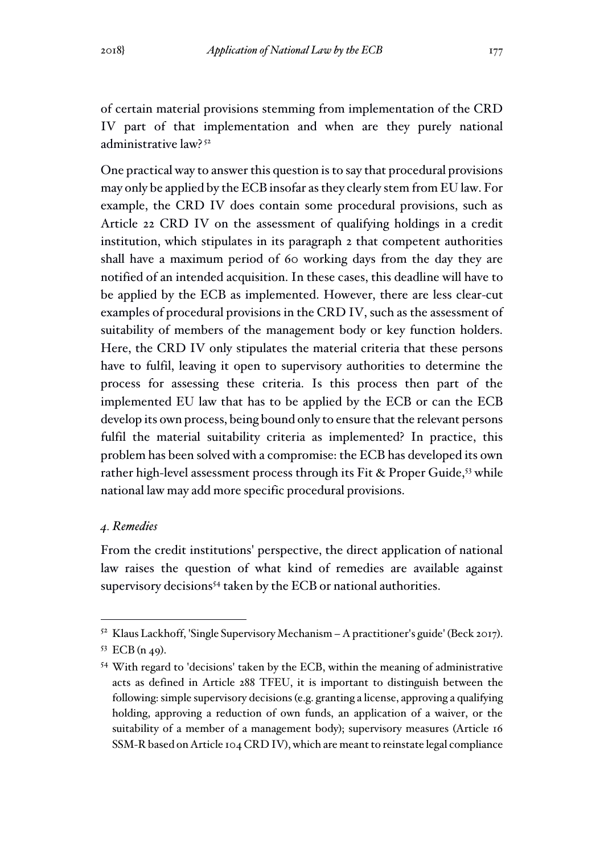of certain material provisions stemming from implementation of the CRD IV part of that implementation and when are they purely national administrative law? <sup>52</sup>

One practical way to answer this question is to say that procedural provisions may only be applied by the ECB insofar as they clearly stem from EU law. For example, the CRD IV does contain some procedural provisions, such as Article 22 CRD IV on the assessment of qualifying holdings in a credit institution, which stipulates in its paragraph 2 that competent authorities shall have a maximum period of 60 working days from the day they are notified of an intended acquisition. In these cases, this deadline will have to be applied by the ECB as implemented. However, there are less clear-cut examples of procedural provisions in the CRD IV, such as the assessment of suitability of members of the management body or key function holders. Here, the CRD IV only stipulates the material criteria that these persons have to fulfil, leaving it open to supervisory authorities to determine the process for assessing these criteria. Is this process then part of the implemented EU law that has to be applied by the ECB or can the ECB develop its own process, being bound only to ensure that the relevant persons fulfil the material suitability criteria as implemented? In practice, this problem has been solved with a compromise: the ECB has developed its own rather high-level assessment process through its Fit & Proper Guide,<sup>53</sup> while national law may add more specific procedural provisions.

#### *4. Remedies*

From the credit institutions' perspective, the direct application of national law raises the question of what kind of remedies are available against supervisory decisions<sup>54</sup> taken by the ECB or national authorities.

<sup>52</sup> Klaus Lackhoff, 'Single Supervisory Mechanism – A practitioner's guide' (Beck 2017).

<sup>53</sup> ECB (n 49).

<sup>54</sup> With regard to 'decisions' taken by the ECB, within the meaning of administrative acts as defined in Article 288 TFEU, it is important to distinguish between the following: simple supervisory decisions (e.g. granting a license, approving a qualifying holding, approving a reduction of own funds, an application of a waiver, or the suitability of a member of a management body); supervisory measures (Article 16 SSM-R based on Article 104 CRD IV), which are meant to reinstate legal compliance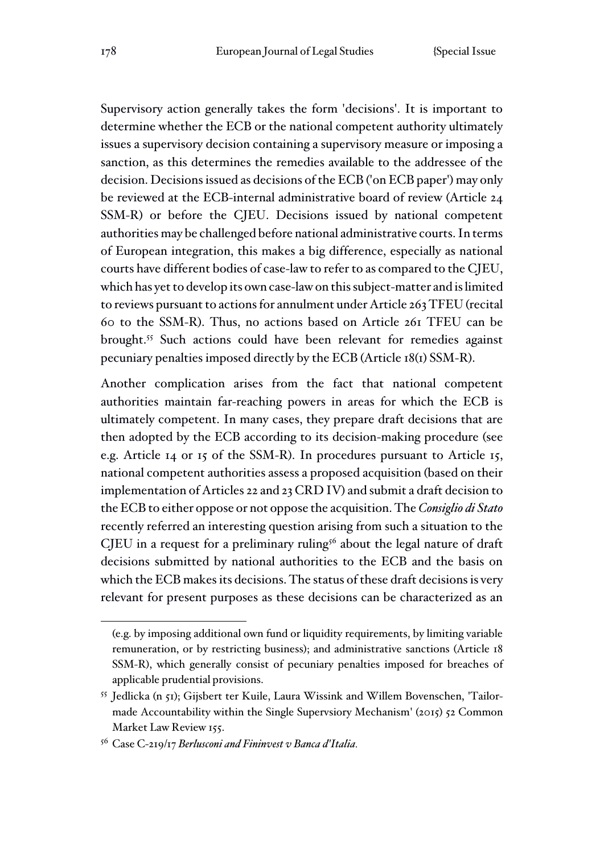Supervisory action generally takes the form 'decisions'. It is important to determine whether the ECB or the national competent authority ultimately issues a supervisory decision containing a supervisory measure or imposing a sanction, as this determines the remedies available to the addressee of the decision. Decisions issued as decisions of the ECB ('on ECB paper') may only be reviewed at the ECB-internal administrative board of review (Article 24 SSM-R) or before the CJEU. Decisions issued by national competent authorities may be challenged before national administrative courts. In terms of European integration, this makes a big difference, especially as national courts have different bodies of case-law to refer to as compared to the CJEU, which has yet to develop its own case-law on this subject-matter and is limited to reviews pursuant to actions for annulment under Article 263 TFEU (recital 60 to the SSM-R). Thus, no actions based on Article 261 TFEU can be brought.<sup>55</sup> Such actions could have been relevant for remedies against pecuniary penalties imposed directly by the ECB (Article 18(1) SSM-R).

Another complication arises from the fact that national competent authorities maintain far-reaching powers in areas for which the ECB is ultimately competent. In many cases, they prepare draft decisions that are then adopted by the ECB according to its decision-making procedure (see e.g. Article 14 or 15 of the SSM-R). In procedures pursuant to Article 15, national competent authorities assess a proposed acquisition (based on their implementation of Articles 22 and 23 CRD IV) and submit a draft decision to the ECB to either oppose or not oppose the acquisition. The *Consiglio di Stato*  recently referred an interesting question arising from such a situation to the CJEU in a request for a preliminary ruling<sup>56</sup> about the legal nature of draft decisions submitted by national authorities to the ECB and the basis on which the ECB makes its decisions. The status of these draft decisions is very relevant for present purposes as these decisions can be characterized as an

<sup>(</sup>e.g. by imposing additional own fund or liquidity requirements, by limiting variable remuneration, or by restricting business); and administrative sanctions (Article 18 SSM-R), which generally consist of pecuniary penalties imposed for breaches of applicable prudential provisions.

<sup>55</sup> Jedlicka (n 51); Gijsbert ter Kuile, Laura Wissink and Willem Bovenschen, 'Tailormade Accountability within the Single Supervsiory Mechanism' (2015) 52 Common Market Law Review 155.

<sup>56</sup> Case C-219/17 *Berlusconi and Fininvest v Banca d'Italia.*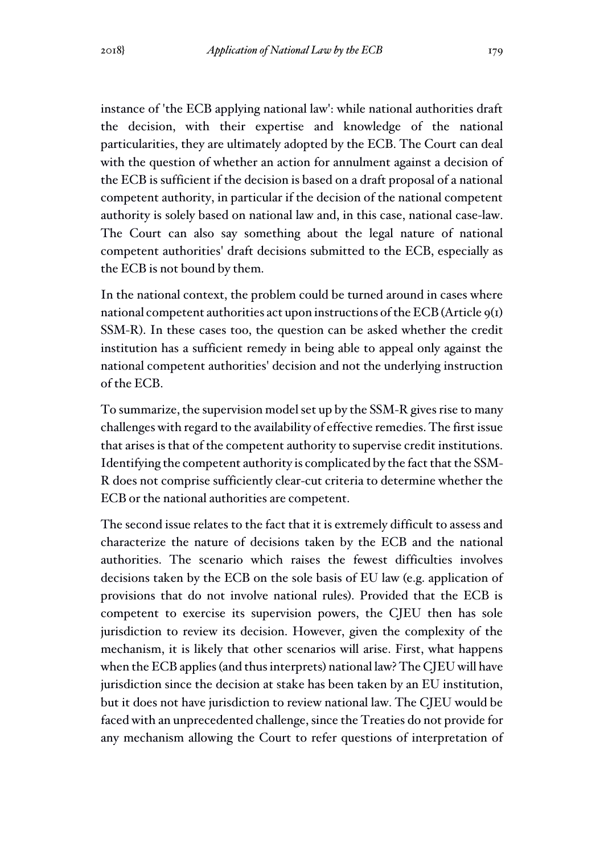instance of 'the ECB applying national law': while national authorities draft the decision, with their expertise and knowledge of the national particularities, they are ultimately adopted by the ECB. The Court can deal with the question of whether an action for annulment against a decision of the ECB is sufficient if the decision is based on a draft proposal of a national competent authority, in particular if the decision of the national competent authority is solely based on national law and, in this case, national case-law. The Court can also say something about the legal nature of national competent authorities' draft decisions submitted to the ECB, especially as the ECB is not bound by them.

In the national context, the problem could be turned around in cases where national competent authorities act upon instructions of the  $ECB$  (Article  $9(1)$ ) SSM-R). In these cases too, the question can be asked whether the credit institution has a sufficient remedy in being able to appeal only against the national competent authorities' decision and not the underlying instruction of the ECB.

To summarize, the supervision model set up by the SSM-R gives rise to many challenges with regard to the availability of effective remedies. The first issue that arises is that of the competent authority to supervise credit institutions. Identifying the competent authority is complicated by the fact that the SSM-R does not comprise sufficiently clear-cut criteria to determine whether the ECB or the national authorities are competent.

The second issue relates to the fact that it is extremely difficult to assess and characterize the nature of decisions taken by the ECB and the national authorities. The scenario which raises the fewest difficulties involves decisions taken by the ECB on the sole basis of EU law (e.g. application of provisions that do not involve national rules). Provided that the ECB is competent to exercise its supervision powers, the CJEU then has sole jurisdiction to review its decision. However, given the complexity of the mechanism, it is likely that other scenarios will arise. First, what happens when the ECB applies (and thus interprets) national law? The CJEU will have jurisdiction since the decision at stake has been taken by an EU institution, but it does not have jurisdiction to review national law. The CJEU would be faced with an unprecedented challenge, since the Treaties do not provide for any mechanism allowing the Court to refer questions of interpretation of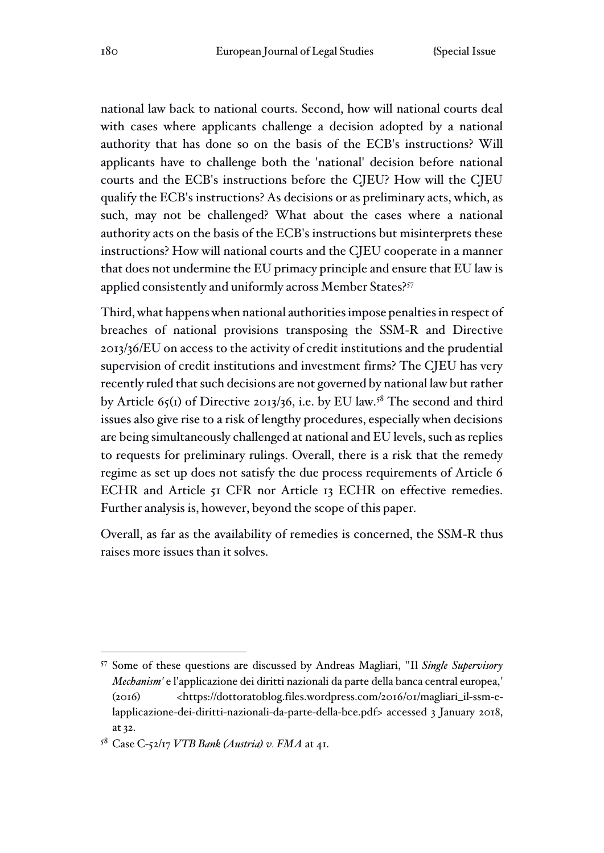national law back to national courts. Second, how will national courts deal with cases where applicants challenge a decision adopted by a national authority that has done so on the basis of the ECB's instructions? Will applicants have to challenge both the 'national' decision before national courts and the ECB's instructions before the CJEU? How will the CJEU qualify the ECB's instructions? As decisions or as preliminary acts, which, as such, may not be challenged? What about the cases where a national authority acts on the basis of the ECB's instructions but misinterprets these instructions? How will national courts and the CJEU cooperate in a manner that does not undermine the EU primacy principle and ensure that EU law is applied consistently and uniformly across Member States?<sup>57</sup>

Third, what happens when national authorities impose penalties in respect of breaches of national provisions transposing the SSM-R and Directive 2013/36/EU on access to the activity of credit institutions and the prudential supervision of credit institutions and investment firms? The CJEU has very recently ruled that such decisions are not governed by national law but rather by Article  $65(1)$  of Directive 2013/36, i.e. by EU law.<sup>58</sup> The second and third issues also give rise to a risk of lengthy procedures, especially when decisions are being simultaneously challenged at national and EU levels, such as replies to requests for preliminary rulings. Overall, there is a risk that the remedy regime as set up does not satisfy the due process requirements of Article 6 ECHR and Article 51 CFR nor Article 13 ECHR on effective remedies. Further analysis is, however, beyond the scope of this paper.

Overall, as far as the availability of remedies is concerned, the SSM-R thus raises more issues than it solves.

<sup>57</sup> Some of these questions are discussed by Andreas Magliari, ''Il *Single Supervisory Mechanism'* e l'applicazione dei diritti nazionali da parte della banca central europea,' (2016) <https://dottoratoblog.files.wordpress.com/2016/01/magliari\_il-ssm-elapplicazione-dei-diritti-nazionali-da-parte-della-bce.pdf> accessed 3 January 2018, at 32.

<sup>58</sup> Case C-52/17 *VTB Bank (Austria) v. FMA* at 41.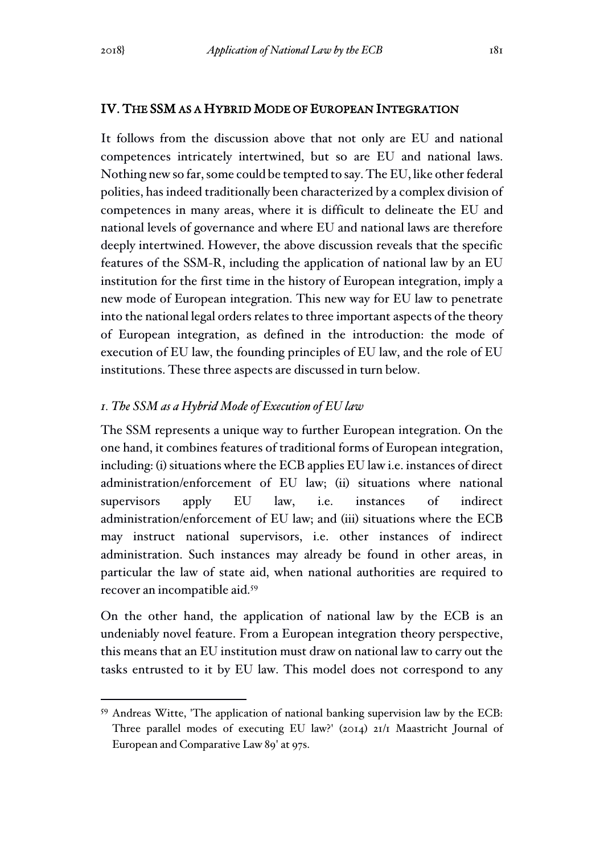#### IV. THE SSM AS A HYBRID MODE OF EUROPEAN INTEGRATION

It follows from the discussion above that not only are EU and national competences intricately intertwined, but so are EU and national laws. Nothing new so far, some could be tempted to say. The EU, like other federal polities, has indeed traditionally been characterized by a complex division of competences in many areas, where it is difficult to delineate the EU and national levels of governance and where EU and national laws are therefore deeply intertwined. However, the above discussion reveals that the specific features of the SSM-R, including the application of national law by an EU institution for the first time in the history of European integration, imply a new mode of European integration. This new way for EU law to penetrate into the national legal orders relates to three important aspects of the theory of European integration, as defined in the introduction: the mode of execution of EU law, the founding principles of EU law, and the role of EU institutions. These three aspects are discussed in turn below.

#### *1. The SSM as a Hybrid Mode of Execution of EU law*

The SSM represents a unique way to further European integration. On the one hand, it combines features of traditional forms of European integration, including: (i) situations where the ECB applies EU law i.e. instances of direct administration/enforcement of EU law; (ii) situations where national supervisors apply EU law, i.e. instances of indirect administration/enforcement of EU law; and (iii) situations where the ECB may instruct national supervisors, i.e. other instances of indirect administration. Such instances may already be found in other areas, in particular the law of state aid, when national authorities are required to recover an incompatible aid.<sup>59</sup>

On the other hand, the application of national law by the ECB is an undeniably novel feature. From a European integration theory perspective, this means that an EU institution must draw on national law to carry out the tasks entrusted to it by EU law. This model does not correspond to any

<sup>59</sup> Andreas Witte, 'The application of national banking supervision law by the ECB: Three parallel modes of executing EU law?' (2014) 21/1 Maastricht Journal of European and Comparative Law 89' at 97s.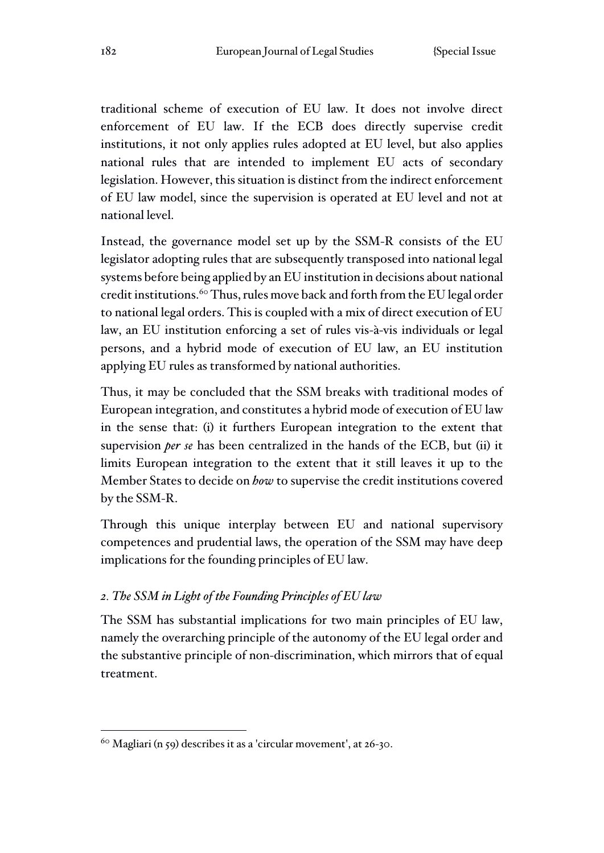traditional scheme of execution of EU law. It does not involve direct enforcement of EU law. If the ECB does directly supervise credit institutions, it not only applies rules adopted at EU level, but also applies national rules that are intended to implement EU acts of secondary legislation. However, this situation is distinct from the indirect enforcement of EU law model, since the supervision is operated at EU level and not at national level.

Instead, the governance model set up by the SSM-R consists of the EU legislator adopting rules that are subsequently transposed into national legal systems before being applied by an EU institution in decisions about national credit institutions.<sup>60</sup> Thus, rules move back and forth from the EU legal order to national legal orders. This is coupled with a mix of direct execution of EU law, an EU institution enforcing a set of rules vis-à-vis individuals or legal persons, and a hybrid mode of execution of EU law, an EU institution applying EU rules as transformed by national authorities.

Thus, it may be concluded that the SSM breaks with traditional modes of European integration, and constitutes a hybrid mode of execution of EU law in the sense that: (i) it furthers European integration to the extent that supervision *per se* has been centralized in the hands of the ECB, but (ii) it limits European integration to the extent that it still leaves it up to the Member States to decide on *how* to supervise the credit institutions covered by the SSM-R.

Through this unique interplay between EU and national supervisory competences and prudential laws, the operation of the SSM may have deep implications for the founding principles of EU law.

## *2. The SSM in Light of the Founding Principles of EU law*

The SSM has substantial implications for two main principles of EU law, namely the overarching principle of the autonomy of the EU legal order and the substantive principle of non-discrimination, which mirrors that of equal treatment.

<sup>60</sup> Magliari (n 59) describes it as a 'circular movement', at 26-30.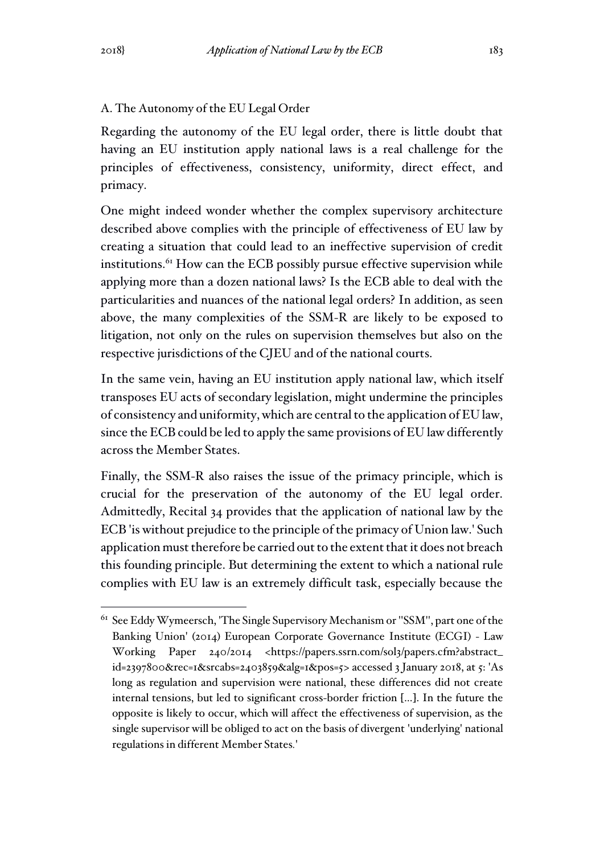A. The Autonomy of the EU Legal Order

Regarding the autonomy of the EU legal order, there is little doubt that having an EU institution apply national laws is a real challenge for the principles of effectiveness, consistency, uniformity, direct effect, and primacy.

One might indeed wonder whether the complex supervisory architecture described above complies with the principle of effectiveness of EU law by creating a situation that could lead to an ineffective supervision of credit institutions.<sup>61</sup> How can the ECB possibly pursue effective supervision while applying more than a dozen national laws? Is the ECB able to deal with the particularities and nuances of the national legal orders? In addition, as seen above, the many complexities of the SSM-R are likely to be exposed to litigation, not only on the rules on supervision themselves but also on the respective jurisdictions of the CJEU and of the national courts.

In the same vein, having an EU institution apply national law, which itself transposes EU acts of secondary legislation, might undermine the principles of consistency and uniformity, which are central to the application of EU law, since the ECB could be led to apply the same provisions of EU law differently across the Member States.

Finally, the SSM-R also raises the issue of the primacy principle, which is crucial for the preservation of the autonomy of the EU legal order. Admittedly, Recital 34 provides that the application of national law by the ECB 'is without prejudice to the principle of the primacy of Union law.' Such application must therefore be carried out to the extent that it does not breach this founding principle. But determining the extent to which a national rule complies with EU law is an extremely difficult task, especially because the

<sup>61</sup> See Eddy Wymeersch, 'The Single Supervisory Mechanism or ''SSM'', part one of the Banking Union' (2014) European Corporate Governance Institute (ECGI) - Law Working Paper 240/2014 <https://papers.ssrn.com/sol3/papers.cfm?abstract\_ id=2397800&rec=1&srcabs=2403859&alg=1&pos=5> accessed 3 January 2018, at 5: 'As long as regulation and supervision were national, these differences did not create internal tensions, but led to significant cross-border friction […]. In the future the opposite is likely to occur, which will affect the effectiveness of supervision, as the single supervisor will be obliged to act on the basis of divergent 'underlying' national regulations in different Member States*.*'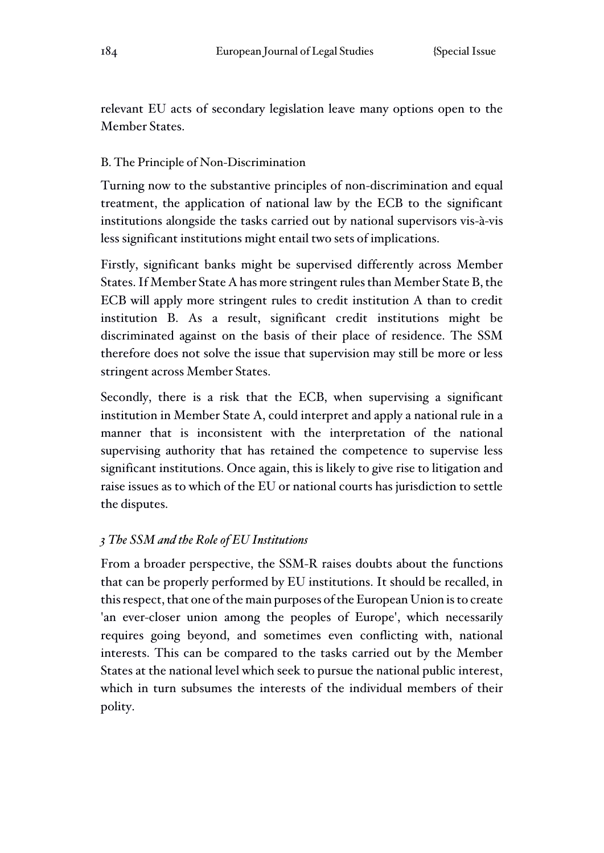relevant EU acts of secondary legislation leave many options open to the Member States.

## B. The Principle of Non-Discrimination

Turning now to the substantive principles of non-discrimination and equal treatment, the application of national law by the ECB to the significant institutions alongside the tasks carried out by national supervisors vis-à-vis less significant institutions might entail two sets of implications.

Firstly, significant banks might be supervised differently across Member States. If Member State A has more stringent rules than Member State B, the ECB will apply more stringent rules to credit institution A than to credit institution B. As a result, significant credit institutions might be discriminated against on the basis of their place of residence. The SSM therefore does not solve the issue that supervision may still be more or less stringent across Member States.

Secondly, there is a risk that the ECB, when supervising a significant institution in Member State A, could interpret and apply a national rule in a manner that is inconsistent with the interpretation of the national supervising authority that has retained the competence to supervise less significant institutions. Once again, this is likely to give rise to litigation and raise issues as to which of the EU or national courts has jurisdiction to settle the disputes.

## *3 The SSM and the Role of EU Institutions*

From a broader perspective, the SSM-R raises doubts about the functions that can be properly performed by EU institutions. It should be recalled, in this respect, that one of the main purposes of the European Union is to create 'an ever-closer union among the peoples of Europe', which necessarily requires going beyond, and sometimes even conflicting with, national interests. This can be compared to the tasks carried out by the Member States at the national level which seek to pursue the national public interest, which in turn subsumes the interests of the individual members of their polity.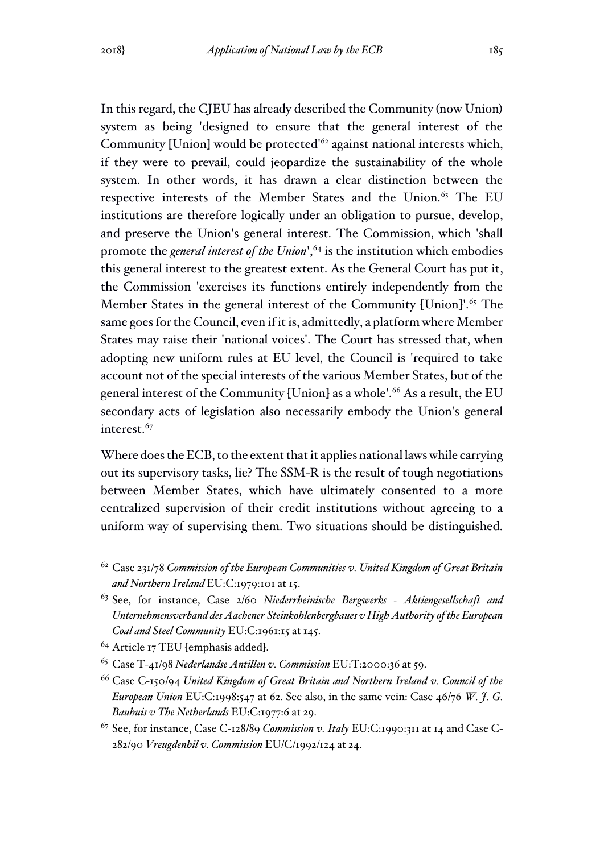In this regard, the CJEU has already described the Community (now Union) system as being 'designed to ensure that the general interest of the Community [Union] would be protected'<sup>62</sup> against national interests which, if they were to prevail, could jeopardize the sustainability of the whole system. In other words, it has drawn a clear distinction between the respective interests of the Member States and the Union.<sup>63</sup> The EU institutions are therefore logically under an obligation to pursue, develop, and preserve the Union's general interest. The Commission, which 'shall promote the *general interest of the Union*',<sup>64</sup> is the institution which embodies this general interest to the greatest extent. As the General Court has put it, the Commission 'exercises its functions entirely independently from the Member States in the general interest of the Community [Union]'.<sup>65</sup> The same goes for the Council, even if it is, admittedly, a platform where Member States may raise their 'national voices'. The Court has stressed that, when adopting new uniform rules at EU level, the Council is 'required to take account not of the special interests of the various Member States, but of the general interest of the Community [Union] as a whole'.<sup>66</sup> As a result, the EU secondary acts of legislation also necessarily embody the Union's general interest.<sup>67</sup>

Where does the ECB, to the extent that it applies national laws while carrying out its supervisory tasks, lie? The SSM-R is the result of tough negotiations between Member States, which have ultimately consented to a more centralized supervision of their credit institutions without agreeing to a uniform way of supervising them. Two situations should be distinguished.

<sup>62</sup> Case 231/78 *Commission of the European Communities v. United Kingdom of Great Britain and Northern Ireland* EU:C:1979:101 at 15.

<sup>63</sup> See, for instance, Case 2/60 *Niederrheinische Bergwerks - Aktiengesellschaft and Unternehmensverband des Aachener Steinkohlenbergbaues v High Authority of the European Coal and Steel Community* EU:C:1961:15 at 145.

<sup>&</sup>lt;sup>64</sup> Article 17 TEU [emphasis added].

<sup>65</sup> Case T-41/98 *Nederlandse Antillen v. Commission* EU:T:2000:36 at 59.

<sup>66</sup> Case C-150/94 *United Kingdom of Great Britain and Northern Ireland v. Council of the European Union* EU:C:1998:547 at 62. See also, in the same vein: Case 46/76 *W. J. G. Bauhuis v The Netherlands* EU:C:1977:6 at 29.

<sup>67</sup> See, for instance, Case C-128/89 *Commission v. Italy* EU:C:1990:311 at 14 and Case C-282/90 *Vreugdenhil v. Commission* EU/C/1992/124 at 24.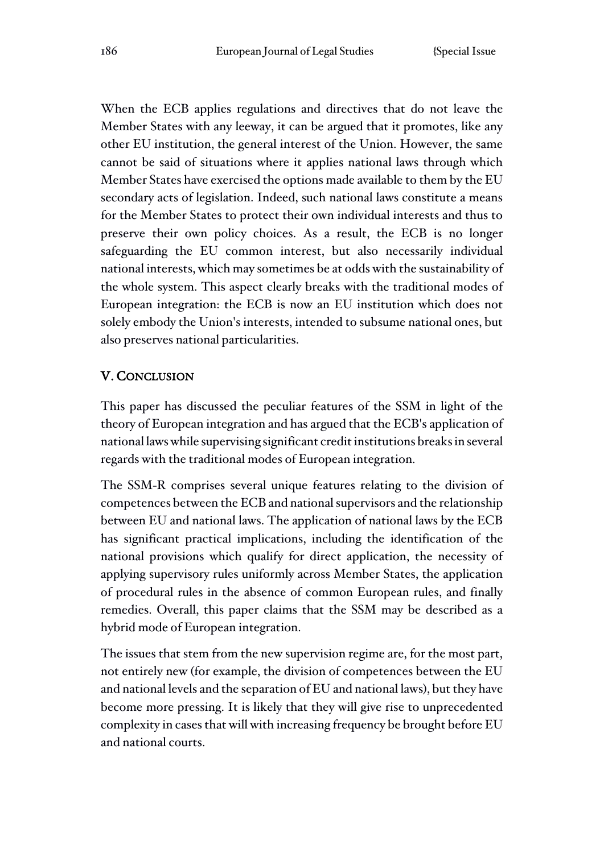When the ECB applies regulations and directives that do not leave the Member States with any leeway, it can be argued that it promotes, like any other EU institution, the general interest of the Union. However, the same cannot be said of situations where it applies national laws through which Member States have exercised the options made available to them by the EU secondary acts of legislation. Indeed, such national laws constitute a means for the Member States to protect their own individual interests and thus to preserve their own policy choices. As a result, the ECB is no longer safeguarding the EU common interest, but also necessarily individual national interests, which may sometimes be at odds with the sustainability of the whole system. This aspect clearly breaks with the traditional modes of European integration: the ECB is now an EU institution which does not solely embody the Union's interests, intended to subsume national ones, but also preserves national particularities.

## V. CONCLUSION

This paper has discussed the peculiar features of the SSM in light of the theory of European integration and has argued that the ECB's application of national laws while supervising significant credit institutions breaks in several regards with the traditional modes of European integration.

The SSM-R comprises several unique features relating to the division of competences between the ECB and national supervisors and the relationship between EU and national laws. The application of national laws by the ECB has significant practical implications, including the identification of the national provisions which qualify for direct application, the necessity of applying supervisory rules uniformly across Member States, the application of procedural rules in the absence of common European rules, and finally remedies. Overall, this paper claims that the SSM may be described as a hybrid mode of European integration.

The issues that stem from the new supervision regime are, for the most part, not entirely new (for example, the division of competences between the EU and national levels and the separation of EU and national laws), but they have become more pressing. It is likely that they will give rise to unprecedented complexity in cases that will with increasing frequency be brought before EU and national courts.